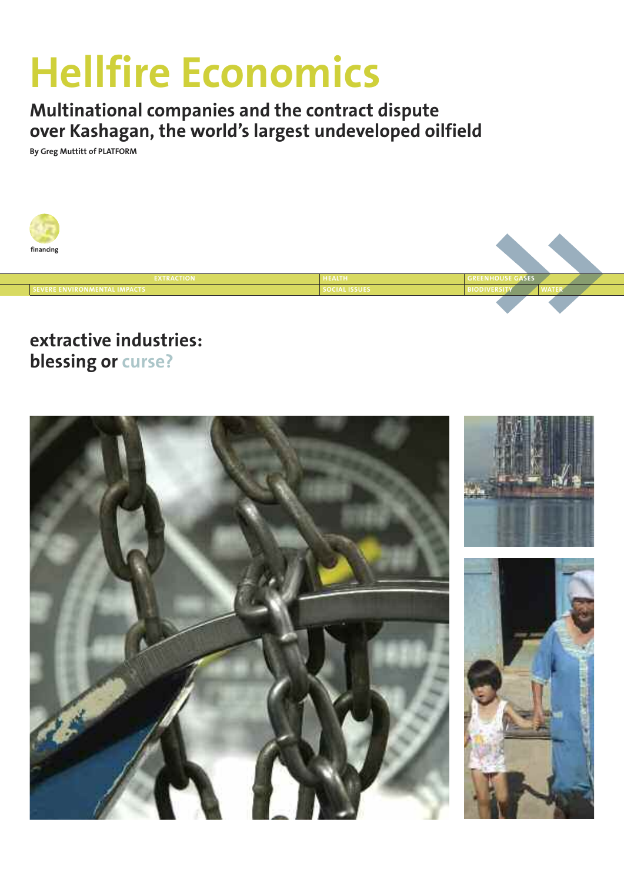# **Hellfire Economics**

**Multinational companies and the contract dispute over Kashagan, the world's largest undeveloped oilfield**

**By Greg Muttitt of PLATFORM**



### **extractive industries: blessing or curse?**

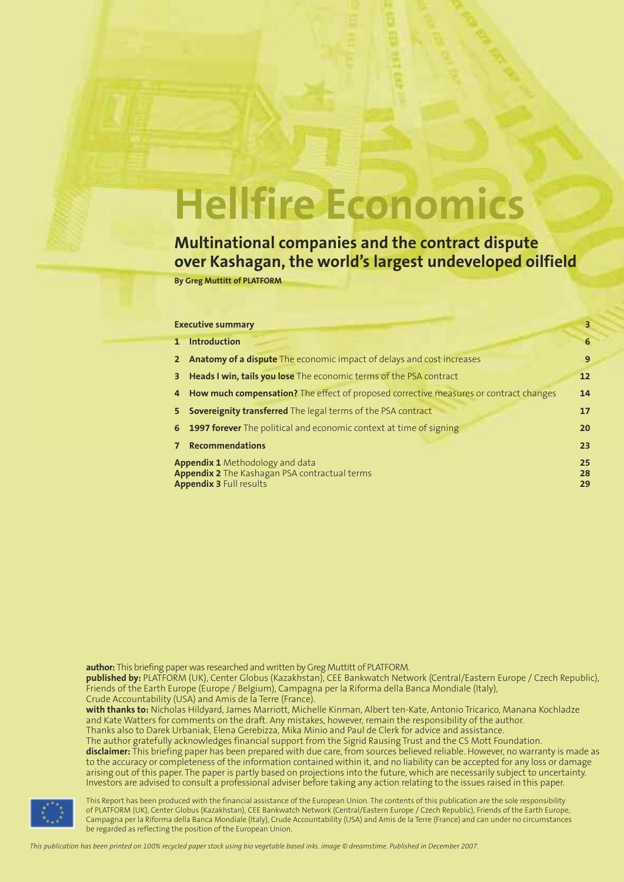# **Hellfire Economics**

**Multinational companies and the contract dispute over Kashagan, the world's largest undeveloped oilfield**

**By Greg Muttitt of PLATFORM**

|   | <b>Executive summary</b>                                                                                                         | 3              |
|---|----------------------------------------------------------------------------------------------------------------------------------|----------------|
| 1 | <b>Introduction</b>                                                                                                              | 6              |
|   | 2 Anatomy of a dispute The economic impact of delays and cost increases                                                          | 9              |
|   | <b>3</b> Heads I win, tails you lose The economic terms of the PSA contract                                                      | 12             |
|   | 4 How much compensation? The effect of proposed corrective measures or contract changes                                          | 14             |
|   | 5 Sovereignity transferred The legal terms of the PSA contract                                                                   | 17             |
|   | 6 1997 forever The political and economic context at time of signing                                                             | 20             |
|   | <b>Recommendations</b>                                                                                                           | 23             |
|   | <b>Appendix 1</b> Methodology and data<br><b>Appendix 2</b> The Kashagan PSA contractual terms<br><b>Appendix 3 Full results</b> | 25<br>28<br>29 |

author: This briefing paper was researched and written by Greg Muttitt of PLATFORM.

**published by:** PLATFORM (UK), Center Globus (Kazakhstan), CEE Bankwatch Network (Central/Eastern Europe / Czech Republic), Friends of the Earth Europe (Europe / Belgium), Campagna per la Riforma della Banca Mondiale (Italy), Crude Accountability (USA) and Amis de la Terre (France).

**with thanks to:** Nicholas Hildyard, James Marriott, Michelle Kinman, Albert ten-Kate, Antonio Tricarico, Manana Kochladze and Kate Watters for comments on the draft. Any mistakes, however, remain the responsibility of the author. Thanks also to Darek Urbaniak, Elena Gerebizza, Mika Minio and Paul de Clerk for advice and assistance.

The author gratefully acknowledges financial support from the Sigrid Rausing Trust and the CS Mott Foundation. **disclaimer:** This briefing paper has been prepared with due care, from sources believed reliable. However, no warranty is made as to the accuracy or completeness of the information contained within it, and no liability can be accepted for any loss or damage arising out of this paper. The paper is partly based on projections into the future, which are necessarily subject to uncertainty. Investors are advised to consult a professional adviser before taking any action relating to the issues raised in this paper.



This Report has been produced with the financial assistance of the European Union. The contents of this publication are the sole responsibility of PLATFORM (UK), Center Globus (Kazakhstan), CEE Bankwatch Network (Central/Eastern Europe / Czech Republic), Friends of the Earth Europe, Campagna per la Riforma della Banca Mondiale (Italy), Crude Accountability (USA) and Amis de la Terre (France) and can under no circumstances be regarded as reflecting the position of the European Union.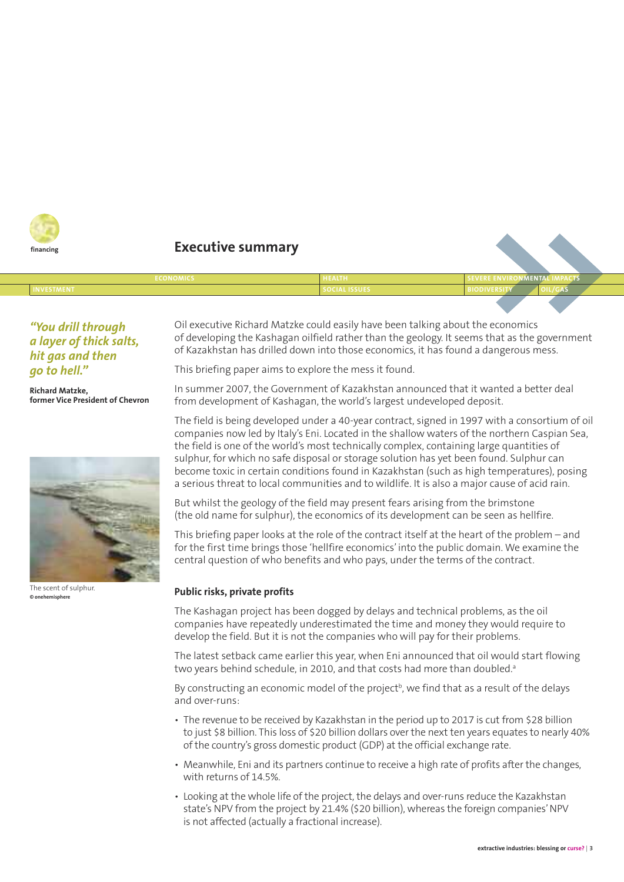

#### **financing Executive summary**

| ____________<br><b>LECONOMICS</b> | <b>IEALTH</b>        | A DEVENE E       | ____ |  |  |
|-----------------------------------|----------------------|------------------|------|--|--|
| INVESTMENT                        | <b>SULIAL ISSUES</b> | <b>BIODIVERS</b> |      |  |  |
|                                   |                      |                  |      |  |  |

#### *"You drill through a layer of thick salts, hit gas and then go to hell."*

**Richard Matzke, former Vice President of Chevron**



The scent of sulphur. **© onehemisphere**

Oil executive Richard Matzke could easily have been talking about the economics of developing the Kashagan oilfield rather than the geology. It seems that as the government of Kazakhstan has drilled down into those economics, it has found a dangerous mess.

This briefing paper aims to explore the mess it found.

In summer 2007, the Government of Kazakhstan announced that it wanted a better deal from development of Kashagan, the world's largest undeveloped deposit.

The field is being developed under a 40-year contract, signed in 1997 with a consortium of oil companies now led by Italy's Eni. Located in the shallow waters of the northern Caspian Sea, the field is one of the world's most technically complex, containing large quantities of sulphur, for which no safe disposal or storage solution has yet been found. Sulphur can become toxic in certain conditions found in Kazakhstan (such as high temperatures), posing a serious threat to local communities and to wildlife. It is also a major cause of acid rain.

But whilst the geology of the field may present fears arising from the brimstone (the old name for sulphur), the economics of its development can be seen as hellfire.

This briefing paper looks at the role of the contract itself at the heart of the problem – and for the first time brings those 'hellfire economics' into the public domain. We examine the central question of who benefits and who pays, under the terms of the contract.

#### **Public risks, private profits**

The Kashagan project has been dogged by delays and technical problems, as the oil companies have repeatedly underestimated the time and money they would require to develop the field. But it is not the companies who will pay for their problems.

The latest setback came earlier this year, when Eni announced that oil would start flowing two years behind schedule, in 2010, and that costs had more than doubled.<sup>a</sup>

By constructing an economic model of the project<sup>b</sup>, we find that as a result of the delays and over-runs:

- The revenue to be received by Kazakhstan in the period up to 2017 is cut from \$28 billion to just \$8 billion. This loss of \$20 billion dollars over the next ten years equates to nearly 40% of the country's gross domestic product (GDP) at the official exchange rate.
- Meanwhile, Eni and its partners continue to receive a high rate of profits after the changes, with returns of 14.5%.
- Looking at the whole life of the project, the delays and over-runs reduce the Kazakhstan state's NPV from the project by 21.4% (\$20 billion), whereas the foreign companies'NPV is not affected (actually a fractional increase).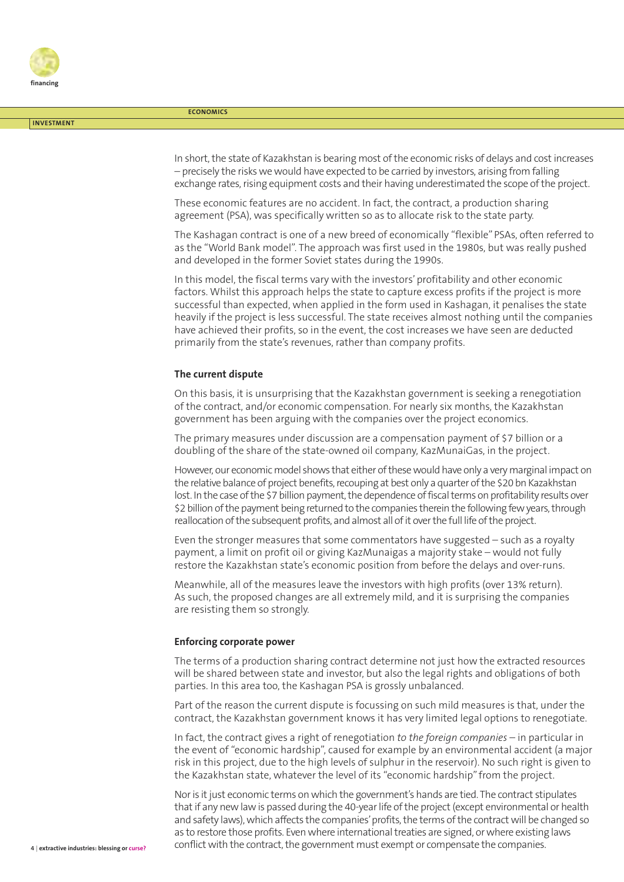

**INVESTMENT**

**ECONOMICS**

In short, the state of Kazakhstan is bearing most of the economic risks of delays and cost increases – precisely the risks we would have expected to be carried by investors, arising from falling exchange rates, rising equipment costs and their having underestimated the scope of the project.

These economic features are no accident. In fact, the contract, a production sharing agreement (PSA), was specifically written so as to allocate risk to the state party.

The Kashagan contract is one of a new breed of economically "flexible" PSAs, often referred to as the "World Bank model". The approach was first used in the 1980s, but was really pushed and developed in the former Soviet states during the 1990s.

In this model, the fiscal terms vary with the investors' profitability and other economic factors. Whilst this approach helps the state to capture excess profits if the project is more successful than expected, when applied in the form used in Kashagan, it penalises the state heavily if the project is less successful. The state receives almost nothing until the companies have achieved their profits, so in the event, the cost increases we have seen are deducted primarily from the state's revenues, rather than company profits.

#### **The current dispute**

On this basis, it is unsurprising that the Kazakhstan government is seeking a renegotiation of the contract, and/or economic compensation. For nearly six months, the Kazakhstan government has been arguing with the companies over the project economics.

The primary measures under discussion are a compensation payment of \$7 billion or a doubling of the share of the state-owned oil company, KazMunaiGas, in the project.

However, our economic model shows that either of these would have only a very marginal impact on the relative balance of project benefits, recouping at best only a quarter of the \$20 bn Kazakhstan lost. In the case of the \$7 billion payment, the dependence of fiscal terms on profitability results over \$2 billion of the payment being returned to the companies therein the following few years, through reallocation of the subsequent profits, and almost all of it over the full life of the project.

Even the stronger measures that some commentators have suggested – such as a royalty payment, a limit on profit oil or giving KazMunaigas a majority stake – would not fully restore the Kazakhstan state's economic position from before the delays and over-runs.

Meanwhile, all of the measures leave the investors with high profits (over 13% return). As such, the proposed changes are all extremely mild, and it is surprising the companies are resisting them so strongly.

#### **Enforcing corporate power**

The terms of a production sharing contract determine not just how the extracted resources will be shared between state and investor, but also the legal rights and obligations of both parties. In this area too, the Kashagan PSA is grossly unbalanced.

Part of the reason the current dispute is focussing on such mild measures is that, under the contract, the Kazakhstan government knows it has very limited legal options to renegotiate.

In fact, the contract gives a right of renegotiation *to the foreign companies* – in particular in the event of "economic hardship", caused for example by an environmental accident (a major risk in this project, due to the high levels of sulphur in the reservoir). No such right is given to the Kazakhstan state, whatever the level of its "economic hardship"from the project.

Nor is it just economic terms on which the government's hands are tied. The contract stipulates that if any new law is passed during the 40-year life of the project (except environmental or health and safety laws), which affects the companies' profits, the terms of the contract will be changed so as to restore those profits. Even where international treaties are signed, or where existing laws conflict with the contract, the government must exempt or compensate the companies.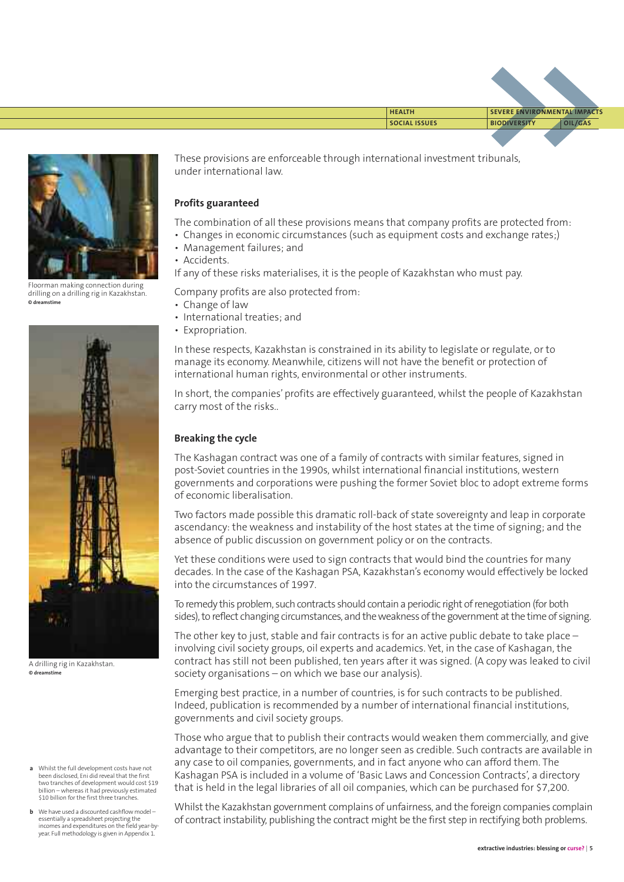

Floorman making connection during drilling on a drilling rig in Kazakhstan. **© dreamstime**



A drilling rig in Kazakhstan. **© dreamstime**

- **a** Whilst the full development costs have not been disclosed, Eni did reveal that the first two tranches of development would cost \$19 billion – whereas it had previously estimated \$10 billion for the first three tranches.
- **b** We have used a discounted cashflow model essentially a spreadsheet projecting the incomes and expenditures on the field year-byyear. Full methodology is given in Appendix 1.

These provisions are enforceable through international investment tribunals, under international law.

#### **Profits guaranteed**

The combination of all these provisions means that company profits are protected from:

- Changes in economic circumstances (such as equipment costs and exchange rates;)
- Management failures; and
- Accidents.

If any of these risks materialises, it is the people of Kazakhstan who must pay.

Company profits are also protected from:

- Change of law
- International treaties; and
- Expropriation.

In these respects, Kazakhstan is constrained in its ability to legislate or regulate, or to manage its economy. Meanwhile, citizens will not have the benefit or protection of international human rights, environmental or other instruments.

In short, the companies' profits are effectively guaranteed, whilst the people of Kazakhstan carry most of the risks..

#### **Breaking the cycle**

The Kashagan contract was one of a family of contracts with similar features, signed in post-Soviet countries in the 1990s, whilst international financial institutions, western governments and corporations were pushing the former Soviet bloc to adopt extreme forms of economic liberalisation.

Two factors made possible this dramatic roll-back of state sovereignty and leap in corporate ascendancy: the weakness and instability of the host states at the time of signing; and the absence of public discussion on government policy or on the contracts.

Yet these conditions were used to sign contracts that would bind the countries for many decades. In the case of the Kashagan PSA, Kazakhstan's economy would effectively be locked into the circumstances of 1997.

To remedy this problem, such contracts should contain a periodic right of renegotiation (for both sides), to reflect changing circumstances, and the weakness of the government at the time of signing.

The other key to just, stable and fair contracts is for an active public debate to take place involving civil society groups, oil experts and academics. Yet, in the case of Kashagan, the contract has still not been published, ten years after it was signed. (A copy was leaked to civil society organisations – on which we base our analysis).

Emerging best practice, in a number of countries, is for such contracts to be published. Indeed, publication is recommended by a number of international financial institutions, governments and civil society groups.

Those who argue that to publish their contracts would weaken them commercially, and give advantage to their competitors, are no longer seen as credible. Such contracts are available in any case to oil companies, governments, and in fact anyone who can afford them. The Kashagan PSA is included in a volume of 'Basic Laws and Concession Contracts', a directory that is held in the legal libraries of all oil companies, which can be purchased for \$7,200.

Whilst the Kazakhstan government complains of unfairness, and the foreign companies complain of contract instability, publishing the contract might be the first step in rectifying both problems.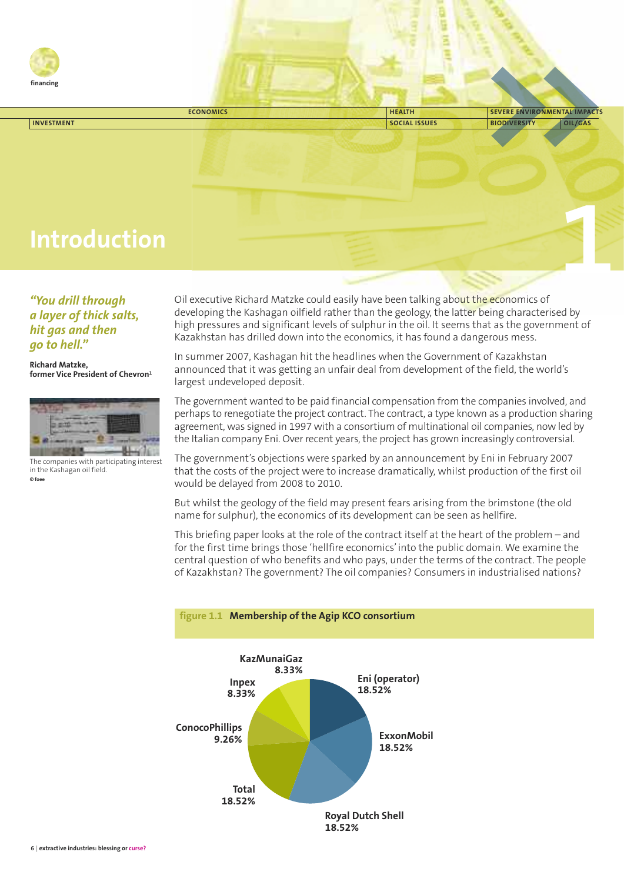

| <b>ECONOMICS</b>    | <b>HEALTH</b>        | SEVERE ENVIRONMENTAL IMPACTS |         |
|---------------------|----------------------|------------------------------|---------|
| <b>INVESTMENT</b>   | <b>SOCIAL ISSUES</b> | <b>BIODIVERSITY</b>          | OIL/GAS |
|                     |                      |                              |         |
|                     |                      |                              |         |
|                     |                      |                              |         |
|                     |                      |                              |         |
|                     |                      |                              |         |
|                     |                      |                              |         |
|                     |                      |                              |         |
| <b>Introduction</b> |                      |                              |         |
|                     |                      |                              |         |
|                     |                      |                              |         |
|                     |                      |                              |         |
|                     |                      |                              |         |

*"You drill through a layer of thick salts, hit gas and then go to hell."*

**Richard Matzke, former Vice President of Chevron1**



The companies with participating interest in the Kashagan oil field. **© foee**

Oil executive Richard Matzke could easily have been talking about the economics of developing the Kashagan oilfield rather than the geology, the latter being characterised by high pressures and significant levels of sulphur in the oil. It seems that as the government of Kazakhstan has drilled down into the economics, it has found a dangerous mess.

In summer 2007, Kashagan hit the headlines when the Government of Kazakhstan announced that it was getting an unfair deal from development of the field, the world's largest undeveloped deposit.

The government wanted to be paid financial compensation from the companies involved, and perhaps to renegotiate the project contract. The contract, a type known as a production sharing agreement, was signed in 1997 with a consortium of multinational oil companies, now led by the Italian company Eni. Over recent years, the project has grown increasingly controversial.

The government's objections were sparked by an announcement by Eni in February 2007 that the costs of the project were to increase dramatically, whilst production of the first oil would be delayed from 2008 to 2010.

But whilst the geology of the field may present fears arising from the brimstone (the old name for sulphur), the economics of its development can be seen as hellfire.

This briefing paper looks at the role of the contract itself at the heart of the problem – and for the first time brings those 'hellfire economics' into the public domain. We examine the central question of who benefits and who pays, under the terms of the contract. The people of Kazakhstan? The government? The oil companies? Consumers in industrialised nations?



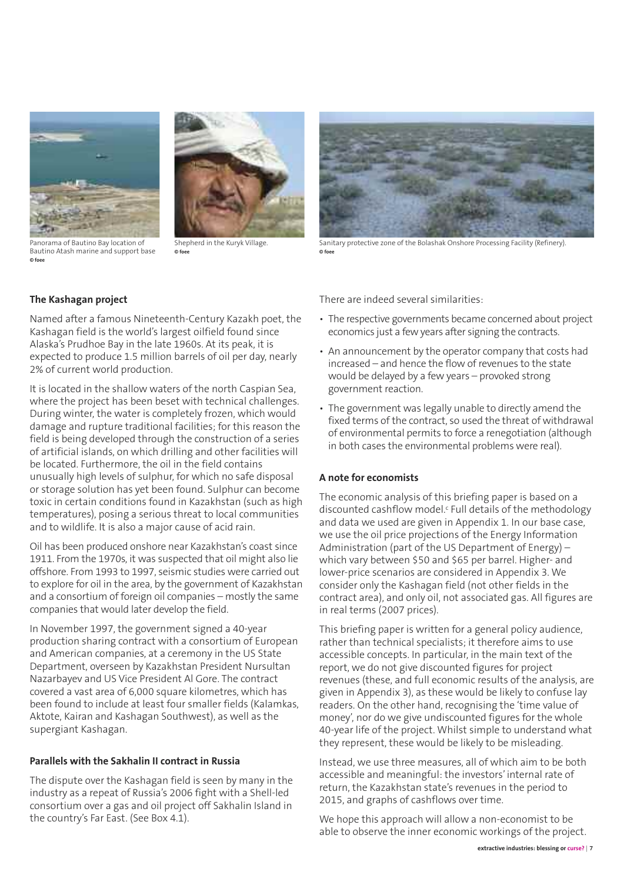



Panorama of Bautino Bay location of Bautino Atash marine and support base **© foee**

Shepherd in the Kuryk Village. **© foee**



Sanitary protective zone of the Bolashak Onshore Processing Facility (Refinery). **© foee**

#### **The Kashagan project**

Named after a famous Nineteenth-Century Kazakh poet, the Kashagan field is the world's largest oilfield found since Alaska's Prudhoe Bay in the late 1960s. At its peak, it is expected to produce 1.5 million barrels of oil per day, nearly 2% of current world production.

It is located in the shallow waters of the north Caspian Sea, where the project has been beset with technical challenges. During winter, the water is completely frozen, which would damage and rupture traditional facilities; for this reason the field is being developed through the construction of a series of artificial islands, on which drilling and other facilities will be located. Furthermore, the oil in the field contains unusually high levels of sulphur, for which no safe disposal or storage solution has yet been found. Sulphur can become toxic in certain conditions found in Kazakhstan (such as high temperatures), posing a serious threat to local communities and to wildlife. It is also a major cause of acid rain.

Oil has been produced onshore near Kazakhstan's coast since 1911. From the 1970s, it was suspected that oil might also lie offshore. From 1993 to 1997, seismic studies were carried out to explore for oil in the area, by the government of Kazakhstan and a consortium of foreign oil companies – mostly the same companies that would later develop the field.

In November 1997, the government signed a 40-year production sharing contract with a consortium of European and American companies, at a ceremony in the US State Department, overseen by Kazakhstan President Nursultan Nazarbayev and US Vice President Al Gore. The contract covered a vast area of 6,000 square kilometres, which has been found to include at least four smaller fields (Kalamkas, Aktote, Kairan and Kashagan Southwest), as well as the supergiant Kashagan.

#### **Parallels with the Sakhalin II contract in Russia**

The dispute over the Kashagan field is seen by many in the industry as a repeat of Russia's 2006 fight with a Shell-led consortium over a gas and oil project off Sakhalin Island in the country's Far East. (See Box 4.1).

There are indeed several similarities:

- The respective governments became concerned about project economics just a few years after signing the contracts.
- An announcement by the operator company that costs had increased – and hence the flow of revenues to the state would be delayed by a few years – provoked strong government reaction.
- The government was legally unable to directly amend the fixed terms of the contract, so used the threat of withdrawal of environmental permits to force a renegotiation (although in both cases the environmental problems were real).

#### **A note for economists**

The economic analysis of this briefing paper is based on a discounted cashflow model.<sup>c</sup> Full details of the methodology and data we used are given in Appendix 1. In our base case, we use the oil price projections of the Energy Information Administration (part of the US Department of Energy) – which vary between \$50 and \$65 per barrel. Higher- and lower-price scenarios are considered in Appendix 3. We consider only the Kashagan field (not other fields in the contract area), and only oil, not associated gas. All figures are in real terms (2007 prices).

This briefing paper is written for a general policy audience, rather than technical specialists; it therefore aims to use accessible concepts. In particular, in the main text of the report, we do not give discounted figures for project revenues (these, and full economic results of the analysis, are given in Appendix 3), as these would be likely to confuse lay readers. On the other hand, recognising the 'time value of money', nor do we give undiscounted figures for the whole 40-year life of the project. Whilst simple to understand what they represent, these would be likely to be misleading.

Instead, we use three measures, all of which aim to be both accessible and meaningful: the investors' internal rate of return, the Kazakhstan state's revenues in the period to 2015, and graphs of cashflows over time.

We hope this approach will allow a non-economist to be able to observe the inner economic workings of the project.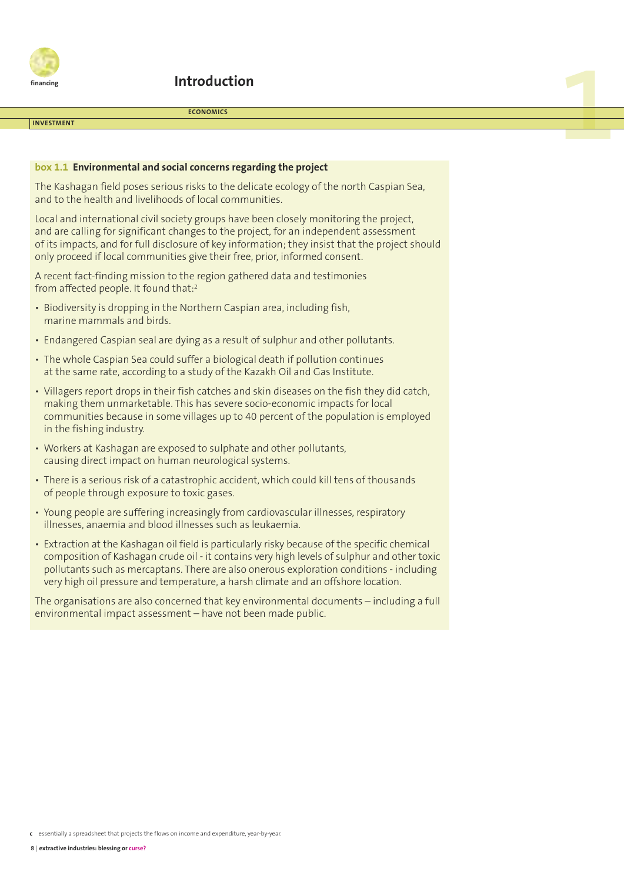

#### **Introduction**

#### **INVESTMENT**

#### **ECONOMICS**

**1**

#### **box 1.1 Environmental and social concerns regarding the project**

The Kashagan field poses serious risks to the delicate ecology of the north Caspian Sea, and to the health and livelihoods of local communities.

Local and international civil society groups have been closely monitoring the project, and are calling for significant changes to the project, for an independent assessment of its impacts, and for full disclosure of key information; they insist that the project should only proceed if local communities give their free, prior, informed consent.

A recent fact-finding mission to the region gathered data and testimonies from affected people. It found that: 2

- Biodiversity is dropping in the Northern Caspian area, including fish, marine mammals and birds.
- Endangered Caspian seal are dying as a result of sulphur and other pollutants.
- The whole Caspian Sea could suffer a biological death if pollution continues at the same rate, according to a study of the Kazakh Oil and Gas Institute.
- Villagers report drops in their fish catches and skin diseases on the fish they did catch, making them unmarketable. This has severe socio-economic impacts for local communities because in some villages up to 40 percent of the population is employed in the fishing industry.
- Workers at Kashagan are exposed to sulphate and other pollutants, causing direct impact on human neurological systems.
- There is a serious risk of a catastrophic accident, which could kill tens of thousands of people through exposure to toxic gases.
- Young people are suffering increasingly from cardiovascular illnesses, respiratory illnesses, anaemia and blood illnesses such as leukaemia.
- Extraction at the Kashagan oil field is particularly risky because of the specific chemical composition of Kashagan crude oil - it contains very high levels of sulphur and other toxic pollutants such as mercaptans. There are also onerous exploration conditions - including very high oil pressure and temperature, a harsh climate and an offshore location.

The organisations are also concerned that key environmental documents – including a full environmental impact assessment – have not been made public.

**c** essentially a spreadsheet that projects the flows on income and expenditure, year-by-year.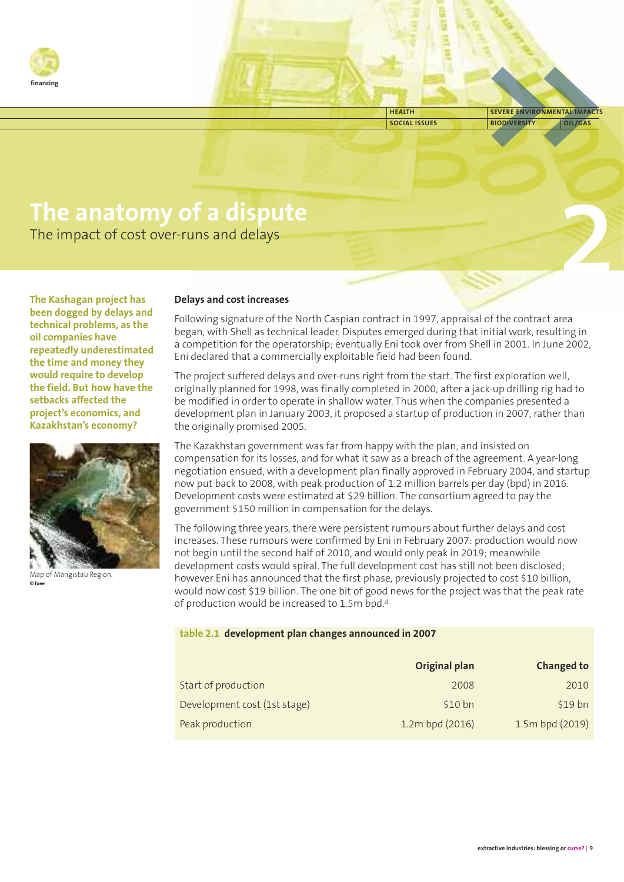

**SOCIAL ISSUES BIODIVERSITY OIL/GAS HEALTH SEVERE ENVIRONMENTAL IMPACTS**

**2**

# **The anatomy of a dispute**

The impact of cost over-runs and delays

**The Kashagan project has been dogged by delays and technical problems, as the oil companies have repeatedly underestimated the time and money they would require to develop the field. But how have the setbacks affected the project's economics, and Kazakhstan's economy?**



Map of Mangistau Region. **© foee**

#### **Delays and cost increases**

Following signature of the North Caspian contract in 1997, appraisal of the contract area began, with Shell as technical leader. Disputes emerged during that initial work, resulting in a competition for the operatorship; eventually Eni took over from Shell in 2001. In June 2002, Eni declared that a commercially exploitable field had been found.

The project suffered delays and over-runs right from the start. The first exploration well, originally planned for 1998, was finally completed in 2000, after a jack-up drilling rig had to be modified in order to operate in shallow water. Thus when the companies presented a development plan in January 2003, it proposed a startup of production in 2007, rather than the originally promised 2005.

The Kazakhstan government was far from happy with the plan, and insisted on compensation for its losses, and for what it saw as a breach of the agreement. A year-long negotiation ensued, with a development plan finally approved in February 2004, and startup now put back to 2008, with peak production of 1.2 million barrels per day (bpd) in 2016. Development costs were estimated at \$29 billion. The consortium agreed to pay the government \$150 million in compensation for the delays.

The following three years, there were persistent rumours about further delays and cost increases. These rumours were confirmed by Eni in February 2007: production would now not begin until the second half of 2010, and would only peak in 2019; meanwhile development costs would spiral. The full development cost has still not been disclosed; however Eni has announced that the first phase, previously projected to cost \$10 billion, would now cost \$19 billion. The one bit of good news for the project was that the peak rate of production would be increased to 1.5m bpd.<sup>d</sup>

#### **table 2.1 development plan changes announced in 2007**

|                     |                              | <b>Original plan</b> | <b>Changed to</b> |
|---------------------|------------------------------|----------------------|-------------------|
| Start of production |                              | 2008                 | 2010              |
|                     | Development cost (1st stage) | $$10 b$ n            | $$19$ bn          |
| Peak production     |                              | 1.2m bpd (2016)      | 1.5m bpd (2019)   |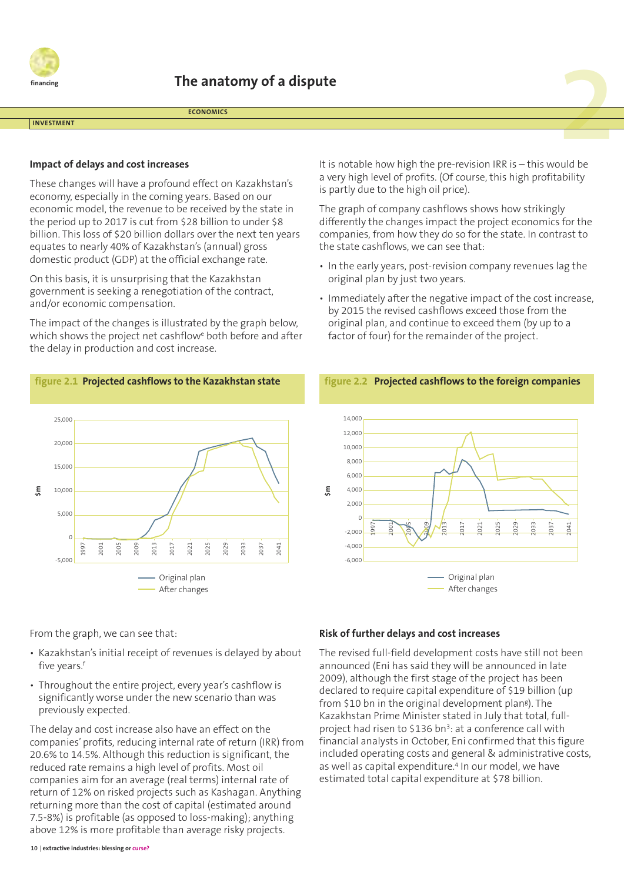

**ECONOMICS**

#### **INVESTMENT**

#### **Impact of delays and cost increases**

These changes will have a profound effect on Kazakhstan's economy, especially in the coming years. Based on our economic model, the revenue to be received by the state in the period up to 2017 is cut from \$28 billion to under \$8 billion. This loss of \$20 billion dollars over the next ten years equates to nearly 40% of Kazakhstan's (annual) gross domestic product (GDP) at the official exchange rate.

On this basis, it is unsurprising that the Kazakhstan government is seeking a renegotiation of the contract, and/or economic compensation.

The impact of the changes is illustrated by the graph below, which shows the project net cashflowe both before and after the delay in production and cost increase.



It is notable how high the pre-revision IRR is – this would be a very high level of profits. (Of course, this high profitability is partly due to the high oil price).

The graph of company cashflows shows how strikingly differently the changes impact the project economics for the companies, from how they do so for the state. In contrast to the state cashflows, we can see that:

- In the early years, post-revision company revenues lag the original plan by just two years.
- Immediately after the negative impact of the cost increase, by 2015 the revised cashflows exceed those from the original plan, and continue to exceed them (by up to a factor of four) for the remainder of the project.





From the graph, we can see that:

- Kazakhstan's initial receipt of revenues is delayed by about five years. f
- Throughout the entire project, every year's cashflow is significantly worse under the new scenario than was previously expected.

The delay and cost increase also have an effect on the companies' profits, reducing internal rate of return (IRR) from 20.6% to 14.5%. Although this reduction is significant, the reduced rate remains a high level of profits. Most oil companies aim for an average (real terms) internal rate of return of 12% on risked projects such as Kashagan. Anything returning more than the cost of capital (estimated around 7.5-8%) is profitable (as opposed to loss-making); anything above 12% is more profitable than average risky projects.

#### **Risk of further delays and cost increases**

The revised full-field development costs have still not been announced (Eni has said they will be announced in late 2009), although the first stage of the project has been declared to require capital expenditure of \$19 billion (up from \$10 bn in the original development plang). The Kazakhstan Prime Minister stated in July that total, fullproject had risen to \$136 bn<sup>3</sup>: at a conference call with financial analysts in October, Eni confirmed that this figure included operating costs and general & administrative costs, as well as capital expenditure. <sup>4</sup> In our model, we have estimated total capital expenditure at \$78 billion.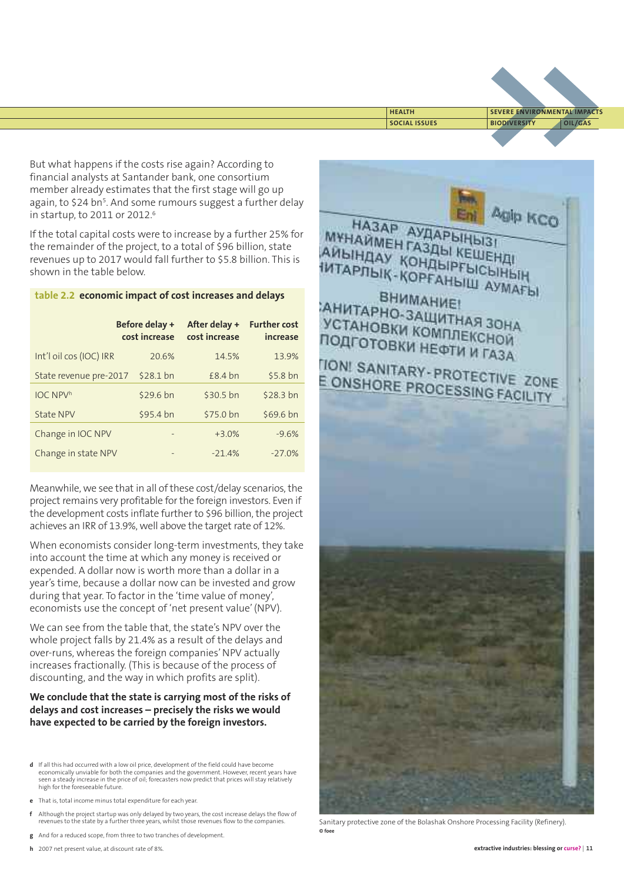

**SOCIAL ISSUES BIODIVERSITY OIL/GAS HEALTH SEVERE ENVIRONMENTAL IMPACTS**

But what happens if the costs rise again? According to financial analysts at Santander bank, one consortium member already estimates that the first stage will go up again, to \$24 bn<sup>5</sup>. And some rumours suggest a further delay in startup, to 2011 or 2012. 6

If the total capital costs were to increase by a further 25% for the remainder of the project, to a total of \$96 billion, state revenues up to 2017 would fall further to \$5.8 billion. This is shown in the table below.

#### **table 2.2 economic impact of cost increases and delays**

|                         | Before delay +<br>cost increase | After delay +<br>cost increase | <b>Further cost</b><br>increase |
|-------------------------|---------------------------------|--------------------------------|---------------------------------|
| Int'l oil cos (IOC) IRR | 20.6%                           | 14.5%                          | 13.9%                           |
| State revenue pre-2017  | \$28.1 bn                       | $£8.4$ bn                      | \$5.8 bn                        |
| <b>IOC NPVh</b>         | \$29.6 bn                       | \$30.5 bn                      | \$28.3 bn                       |
| State NPV               | \$95.4 bn                       | \$75.0 bn                      | \$69.6 bn                       |
| Change in IOC NPV       |                                 | $+3.0%$                        | $-9.6%$                         |
| Change in state NPV     |                                 | $-21.4%$                       | $-27.0%$                        |

Meanwhile, we see that in all of these cost/delay scenarios, the project remains very profitable for the foreign investors. Even if the development costs inflate further to \$96 billion, the project achieves an IRR of 13.9%, well above the target rate of 12%.

When economists consider long-term investments, they take into account the time at which any money is received or expended. A dollar now is worth more than a dollar in a year's time, because a dollar now can be invested and grow during that year. To factor in the 'time value of money', economists use the concept of 'net present value'(NPV).

We can see from the table that, the state's NPV over the whole project falls by 21.4% as a result of the delays and over-runs, whereas the foreign companies' NPV actually increases fractionally. (This is because of the process of discounting, and the way in which profits are split).

#### **We conclude that the state is carrying most of the risks of delays and cost increases – precisely the risks we would have expected to be carried by the foreign investors.**

- **d** If all this had occurred with a low oil price, development of the field could have become economically unviable for both the companies and the government. However, recent years have seen a steady increase in the price of oil; forecasters now predict that prices will stay relatively high for the foreseeable future.
- **e** That is, total income minus total expenditure for each year.
- **f** Although the project startup was only delayed by two years, the cost increase delays the flow of revenues to the state by a further three years, whilst those revenues flow to the companies.
- **g** And for a reduced scope, from three to two tranches of development.



Sanitary protective zone of the Bolashak Onshore Processing Facility (Refinery). **© foee**

**h** 2007 net present value, at discount rate of 8%.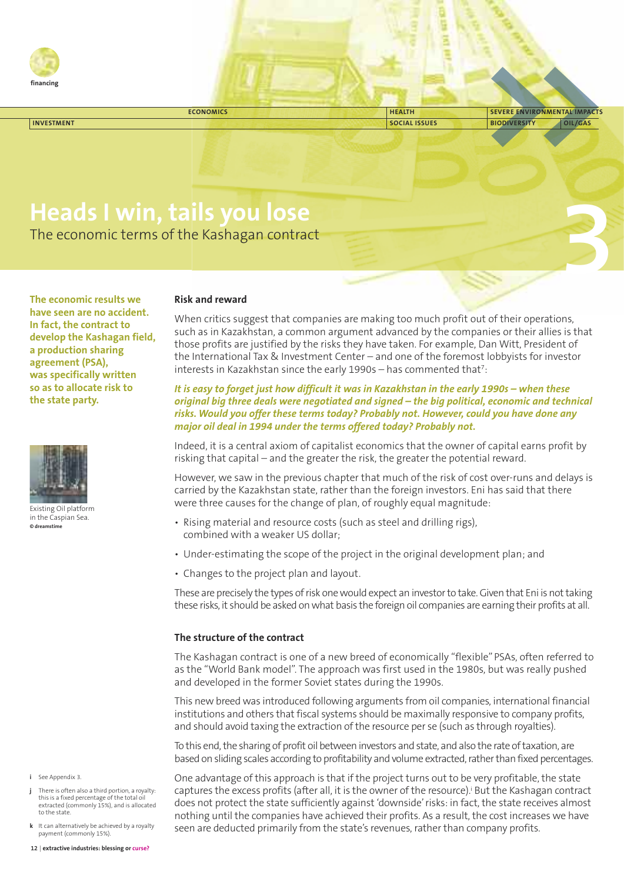

| <b>ECONOMICS</b>  | <b>HEALTH</b>        | SEVERE ENVIRONMENTAL IMPACTS |
|-------------------|----------------------|------------------------------|
| <b>INVESTMENT</b> | <b>SOCIAL ISSUES</b> | <b>BIODIVERSITY</b>          |
|                   |                      |                              |
|                   |                      |                              |

# **Heads I win, tails you lose**

The economic terms of the Kashagan contract

**The economic results we have seen are no accident. In fact, the contract to develop the Kashagan field, a production sharing agreement (PSA), was specifically written so as to allocate risk to the state party.**



Existing Oil platform in the Caspian Sea. **© dreamstime**

#### **Risk and reward**

When critics suggest that companies are making too much profit out of their operations, such as in Kazakhstan, a common argument advanced by the companies or their allies is that those profits are justified by the risks they have taken. For example, Dan Witt, President of the International Tax & Investment Center – and one of the foremost lobbyists for investor interests in Kazakhstan since the early  $1990s -$  has commented that<sup>7</sup>:

**3**

It is easy to forget just how difficult it was in Kazakhstan in the early 1990s - when these *original big three deals were negotiated and signed – the big political, economic and technical risks. Would you offer these terms today? Probably not. However, could you have done any major oil deal in 1994 under the terms offered today? Probably not.*

Indeed, it is a central axiom of capitalist economics that the owner of capital earns profit by risking that capital – and the greater the risk, the greater the potential reward.

However, we saw in the previous chapter that much of the risk of cost over-runs and delays is carried by the Kazakhstan state, rather than the foreign investors. Eni has said that there were three causes for the change of plan, of roughly equal magnitude:

- Rising material and resource costs (such as steel and drilling rigs), combined with a weaker US dollar;
- Under-estimating the scope of the project in the original development plan; and
- Changes to the project plan and layout.

These are precisely the types of risk one would expect an investor to take. Given that Eni is not taking these risks, it should be asked onwhat basis the foreign oil companies are earning their profits at all.

#### **The structure of the contract**

The Kashagan contract is one of a new breed of economically "flexible" PSAs, often referred to as the "World Bank model". The approach was first used in the 1980s, but was really pushed and developed in the former Soviet states during the 1990s.

This new breed was introduced following arguments from oil companies, international financial institutions and others that fiscal systems should be maximally responsive to company profits, and should avoid taxing the extraction of the resource per se (such as through royalties).

To this end, the sharing of profit oil between investors and state, and also the rate of taxation, are based on sliding scales according to profitability and volume extracted, rather than fixed percentages.

One advantage of this approach is that if the project turns out to be very profitable, the state captures the excess profits (after all, it is the owner of the resource). <sup>i</sup> But the Kashagan contract does not protect the state sufficiently against 'downside'risks: in fact, the state receives almost nothing until the companies have achieved their profits. As a result, the cost increases we have seen are deducted primarily from the state's revenues, rather than company profits.

**i** See Appendix 3.

- **j** There is often also a third portion, a royalty: this is a fixed percentage of the total of extracted (commonly 15%), and is allocated to the state.
- **k** It can alternatively be achieved by a royalty payment (commonly 15%).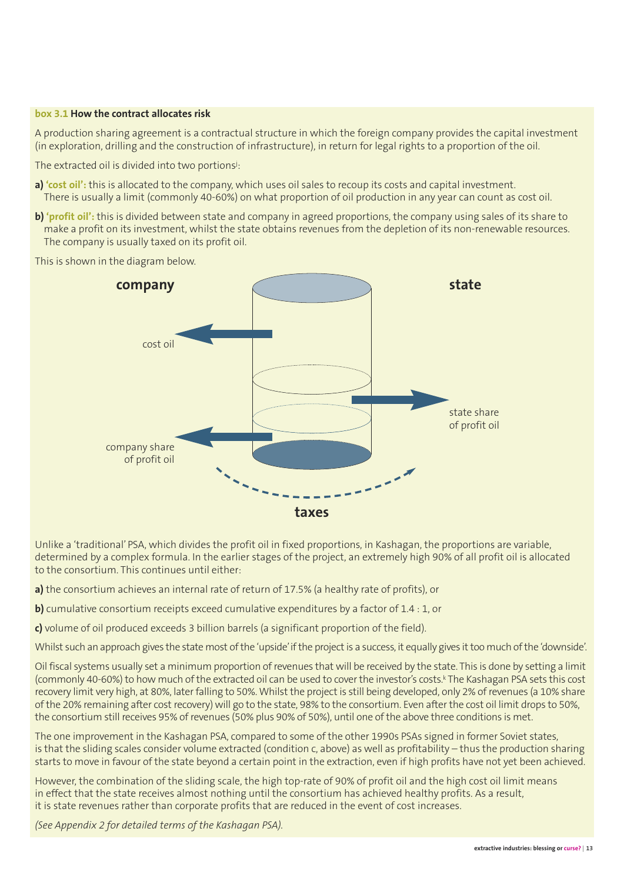#### **box 3.1 How the contract allocates risk**

A production sharing agreement is a contractual structure in which the foreign company provides the capital investment (in exploration, drilling and the construction of infrastructure), in return for legal rights to a proportion of the oil.

The extracted oil is divided into two portions<sup>j</sup>:

- **a) 'cost oil':** this is allocated to the company, which uses oil sales to recoup its costs and capital investment. There is usually a limit (commonly 40-60%) on what proportion of oil production in any year can count as cost oil.
- **b) 'profit oil':** this is divided between state and company in agreed proportions, the company using sales of its share to make a profit on its investment, whilst the state obtains revenues from the depletion of its non-renewable resources. The company is usually taxed on its profit oil.

This is shown in the diagram below.



Unlike a 'traditional' PSA, which divides the profit oil in fixed proportions, in Kashagan, the proportions are variable, determined by a complex formula. In the earlier stages of the project, an extremely high 90% of all profit oil is allocated to the consortium. This continues until either:

**a)** the consortium achieves an internal rate of return of 17.5% (a healthy rate of profits), or

**b)** cumulative consortium receipts exceed cumulative expenditures by a factor of 1.4 : 1, or

**c)** volume of oil produced exceeds 3 billion barrels (a significant proportion of the field).

Whilst such an approach gives the state most of the 'upside' if the project is a success, it equally gives it too much of the 'downside'.

Oil fiscal systems usually set a minimum proportion of revenues that will be received by the state. This is done by setting a limit (commonly 40-60%) to how much of the extracted oil can be used to cover the investor's costs.<sup>k</sup> The Kashagan PSA sets this cost recovery limit very high, at 80%, later falling to 50%. Whilst the project is still being developed, only 2% of revenues (a 10% share of the 20% remaining after cost recovery) will go to the state, 98% to the consortium. Even after the cost oil limit drops to 50%, the consortium still receives 95% of revenues (50% plus 90% of 50%), until one ofthe above three conditions is met.

The one improvement in the Kashagan PSA, compared to some of the other 1990s PSAs signed in former Soviet states, is that the sliding scales consider volume extracted (condition c, above) as well as profitability – thus the production sharing starts to move in favour of the state beyond a certain point in the extraction, even if high profits have not yet been achieved.

However, the combination of the sliding scale, the high top-rate of 90% of profit oil and the high cost oil limit means in effect that the state receives almost nothing until the consortium has achieved healthy profits. As a result, it is state revenues rather than corporate profits that are reduced in the event of cost increases.

*(See Appendix 2 for detailed terms of the Kashagan PSA).*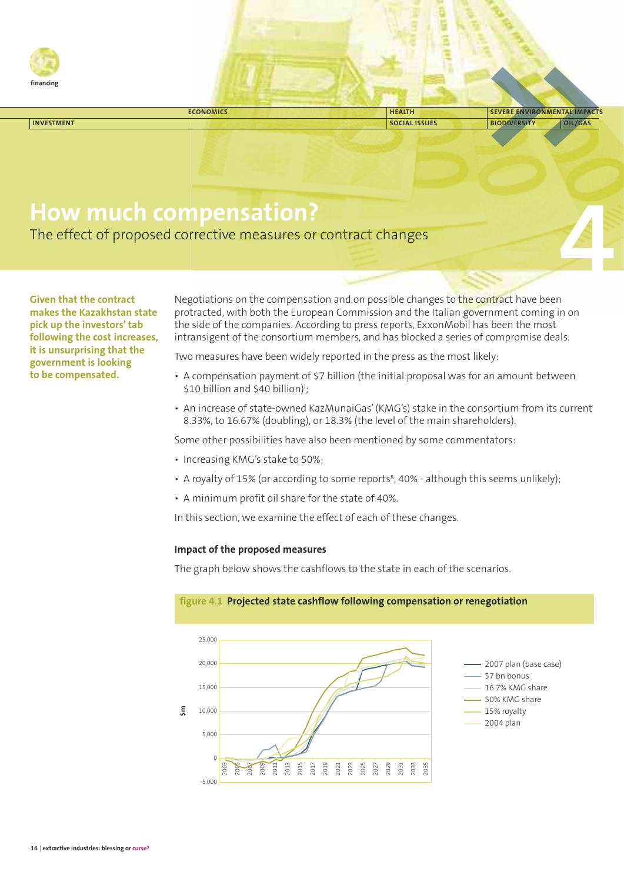

|                   | <b>ECONOMICS</b> | <b>HEALTH</b>        | <b>SEVERE ENVIRONMENTAL IMPACTS</b> |
|-------------------|------------------|----------------------|-------------------------------------|
| <b>INVESTMENT</b> |                  | <b>SOCIAL ISSUES</b> | OIL/GAS<br><b>BIODIVERSITY</b>      |
|                   |                  |                      |                                     |

## **How much compensation?**

The effect of proposed corrective measures or contract changes

**Given that the contract makes the Kazakhstan state pick up the investors'tab following the cost increases, it is unsurprising that the government is looking to be compensated.**

Negotiations on the compensation and on possible changes to the contract have been protracted, with both the European Commission and the Italian government coming in on the side of the companies. According to press reports, ExxonMobil has been the most intransigent of the consortium members, and has blocked a series of compromise deals. **4**

Two measures have been widely reported in the press as the most likely:

- A compensation payment of \$7 billion (the initial proposal was for an amount between \$10 billion and \$40 billion)<sup>1</sup>;
- An increase of state-owned KazMunaiGas'(KMG's) stake in the consortium from its current 8.33%, to 16.67% (doubling), or 18.3% (the level of the main shareholders).

Some other possibilities have also been mentioned by some commentators:

- Increasing KMG's stake to 50%;
- A royalty of 15% (or according to some reports<sup>8</sup>, 40% although this seems unlikely);
- A minimum profit oil share for the state of 40%.

In this section, we examine the effect of each of these changes.

#### **Impact of the proposed measures**

The graph below shows the cashflows to the state in each of the scenarios.



### **figure 4.1 Projected state cashflow following compensation or renegotiation**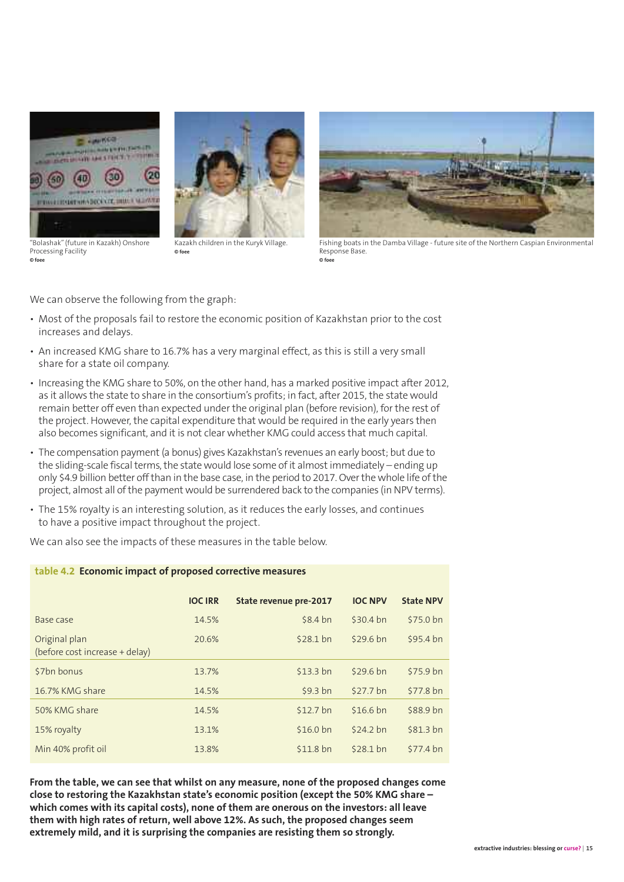

"Bolashak"(future in Kazakh) Onshore Processing Facility **© foee**

Kazakh children in the Kuryk Village. **© foee**



Fishing boats in the Damba Village - future site of the Northern Caspian Environmental Response Base. **© foee**

We can observe the following from the graph:

- Most of the proposals fail to restore the economic position of Kazakhstan prior to the cost increases and delays.
- An increased KMG share to 16.7% has a very marginal effect, as this is still a very small share for a state oil company.
- Increasing the KMG share to 50%, on the other hand, has a marked positive impact after 2012, as it allows the state to share in the consortium's profits; in fact, after 2015, the state would remain better off even than expected under the original plan (before revision), for the rest of the project. However, the capital expenditure that would be required in the early years then also becomes significant, and it is not clear whether KMG could access that much capital.
- The compensation payment (a bonus) gives Kazakhstan's revenues an early boost; but due to the sliding-scale fiscal terms, the state would lose some of it almost immediately – ending up only \$4.9 billion better offthan in the base case, in the period to 2017. Overthe whole life ofthe project, almost all ofthe payment would be surrendered back to the companies (in NPV terms).
- The 15% royalty is an interesting solution, as it reduces the early losses, and continues to have a positive impact throughout the project.

We can also see the impacts of these measures in the table below.

**table 4.2 Economic impact of proposed corrective measures**

|                                                 | <b>IOC IRR</b> | State revenue pre-2017 | <b>IOC NPV</b> | <b>State NPV</b> |
|-------------------------------------------------|----------------|------------------------|----------------|------------------|
| Base case                                       | 14.5%          | \$8.4 bn               | \$30.4 bn      | \$75.0 bn        |
| Original plan<br>(before cost increase + delay) | 20.6%          | \$28.1 bn              | \$29.6 bn      | \$95.4 bn        |
| \$7bn bonus                                     | 13.7%          | \$13.3 bn              | \$29.6 bn      | \$75.9 bn        |
| 16.7% KMG share                                 | 14.5%          | \$9.3 bn               | \$27.7 bn      | \$77.8 bn        |
| 50% KMG share                                   | 14.5%          | \$12.7 bn              | \$16.6 bn      | \$88.9 bn        |
| 15% royalty                                     | 13.1%          | \$16.0 bn              | \$24.2 bn      | \$81.3 bn        |
| Min 40% profit oil                              | 13.8%          | \$11.8 bn              | $$28.1$ bn     | \$77.4 bn        |

**From the table, we can see that whilst on any measure, none of the proposed changes come close to restoring the Kazakhstan state's economic position (except the 50% KMG share – which comes with its capital costs), none of them are onerous on the investors: all leave them with high rates of return, well above 12%. As such, the proposed changes seem extremely mild, and it is surprising the companies are resisting them so strongly.**

#### **extractive industries: blessing or curse?** | **15**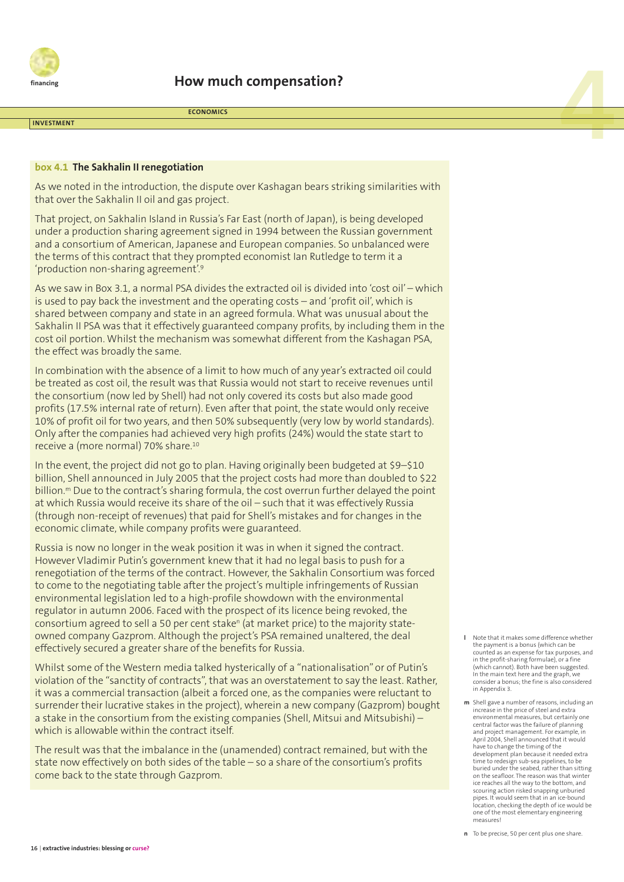

**44 <b>ECONOMICS**<br> **ECONOMICS**<br> **4 ECONOMICS** 

#### **INVESTMENT**

#### **box 4.1 The Sakhalin II renegotiation**

As we noted in the introduction, the dispute over Kashagan bears striking similarities with that over the Sakhalin II oil and gas project.

**ECONOMICS**

That project, on Sakhalin Island in Russia's Far East (north of Japan), is being developed under a production sharing agreement signed in 1994 between the Russian government and a consortium of American, Japanese and European companies. So unbalanced were the terms of this contract that they prompted economist Ian Rutledge to term it a 'production non-sharing agreement'. 9

As we saw in Box 3.1, a normal PSA divides the extracted oil is divided into 'cost oil' – which is used to pay back the investment and the operating costs – and 'profit oil', which is shared between company and state in an agreed formula. What was unusual about the Sakhalin II PSA was that it effectively guaranteed company profits, by including them in the cost oil portion. Whilst the mechanism was somewhat different from the Kashagan PSA, the effect was broadly the same.

In combination with the absence of a limit to how much of any year's extracted oil could be treated as cost oil, the result was that Russia would not start to receive revenues until the consortium (now led by Shell) had not only covered its costs but also made good profits (17.5% internal rate of return). Even after that point, the state would only receive 10% of profit oil for two years, and then 50% subsequently (very low by world standards). Only after the companies had achieved very high profits (24%) would the state start to receive a (more normal) 70% share. 10

In the event, the project did not go to plan. Having originally been budgeted at \$9–\$10 billion, Shell announced in July 2005 that the project costs had more than doubled to \$22 billion. <sup>m</sup> Due to the contract's sharing formula, the cost overrun further delayed the point at which Russia would receive its share of the oil – such that it was effectively Russia (through non-receipt of revenues) that paid for Shell's mistakes and for changes in the economic climate, while company profits were guaranteed.

Russia is now no longer in the weak position it was in when it signed the contract. However Vladimir Putin's government knew that it had no legal basis to push for a renegotiation of the terms of the contract. However, the Sakhalin Consortium was forced to come to the negotiating table after the project's multiple infringements of Russian environmental legislation led to a high-profile showdown with the environmental regulator in autumn 2006. Faced with the prospect of its licence being revoked, the consortium agreed to sell a 50 per cent stake<sup>n</sup> (at market price) to the majority stateowned company Gazprom. Although the project's PSA remained unaltered, the deal effectively secured a greater share of the benefits for Russia.

Whilst some of the Western media talked hysterically of a "nationalisation" or of Putin's violation of the "sanctity of contracts", that was an overstatement to say the least. Rather, it was a commercial transaction (albeit a forced one, as the companies were reluctant to surrender their lucrative stakes in the project), wherein a new company (Gazprom) bought a stake in the consortium from the existing companies (Shell, Mitsui and Mitsubishi) – which is allowable within the contract itself.

The result was that the imbalance in the (unamended) contract remained, but with the state now effectively on both sides of the table – so a share of the consortium's profits come back to the state through Gazprom.

- **l** Note that it makes some difference whether the payment is a bonus (which can be counted as an expense for tax purposes, and in the profit-sharing formulae), or a fine (which cannot). Both have been suggested. In the main text here and the graph, we consider a bonus; the fine is also considered in Appendix 3.
- **m** Shell gave a number of reasons, including an increase in the price of steel and extra environmental measures, but certainly one central factor was the failure of planning and project management. For example, in April 2004, Shell announced that it would have to change the timing of the development plan because it needed extra time to redesign sub-sea pipelines, to be buried under the seabed, rather than sitting on the seafloor. The reason was that winter ice reaches all the way to the bottom, and scouring action risked snapping unburied pipes. It would seem that in an ice-bound location, checking the depth of ice would be one of the most elementary engineering measures!

**n** To be precise, 50 per cent plus one share.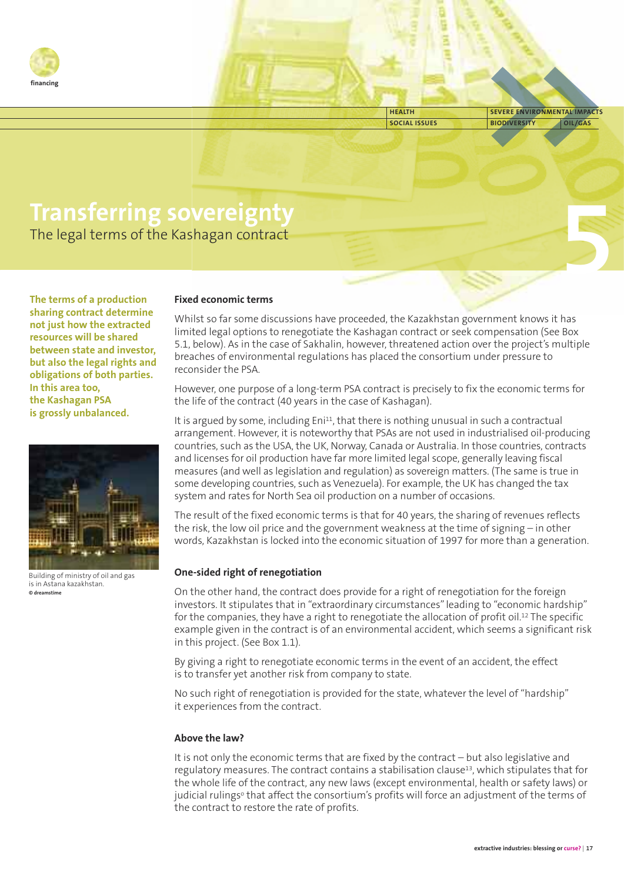

**SOCIAL ISSUES BIODIVERSITY OIL/GAS HEALTH SEVERE ENVIRONMENTAL IMPACTS**

**5**

# **Transferring sovereignty**

The legal terms of the Kashagan contract

**The terms of a production sharing contract determine not just how the extracted resources will be shared between state and investor, but also the legal rights and obligations of both parties. In this area too, the Kashagan PSA is grossly unbalanced.**



Building of ministry of oil and gas is in Astana kazakhstan. **© dreamstime**

#### **Fixed economic terms**

Whilst so far some discussions have proceeded, the Kazakhstan government knows it has limited legal options to renegotiate the Kashagan contract or seek compensation (See Box 5.1, below). As in the case of Sakhalin, however, threatened action over the project's multiple breaches of environmental regulations has placed the consortium under pressure to reconsider the PSA.

However, one purpose of a long-term PSA contract is precisely to fix the economic terms for the life of the contract (40 years in the case of Kashagan).

It is argued by some, including Eni<sup>11</sup>, that there is nothing unusual in such a contractual arrangement. However, it is noteworthy that PSAs are not used in industrialised oil-producing countries, such as the USA, the UK, Norway, Canada or Australia. In those countries, contracts and licenses for oil production have far more limited legal scope, generally leaving fiscal measures (and well as legislation and regulation) as sovereign matters. (The same is true in some developing countries, such as Venezuela). For example, the UK has changed the tax system and rates for North Sea oil production on a number of occasions.

The result of the fixed economic terms is that for 40 years, the sharing of revenues reflects the risk, the low oil price and the government weakness at the time of signing – in other words, Kazakhstan is locked into the economic situation of 1997 for more than a generation.

#### **One-sided right of renegotiation**

On the other hand, the contract does provide for a right of renegotiation for the foreign investors. It stipulates that in "extraordinary circumstances"leading to "economic hardship" for the companies, they have a right to renegotiate the allocation of profit oil.<sup>12</sup> The specific example given in the contract is of an environmental accident, which seems a significant risk in this project. (See Box 1.1).

By giving a right to renegotiate economic terms in the event of an accident, the effect is to transfer yet another risk from company to state.

No such right of renegotiation is provided for the state, whatever the level of "hardship" it experiences from the contract.

#### **Above the law?**

It is not only the economic terms that are fixed by the contract – but also legislative and regulatory measures. The contract contains a stabilisation clause $13$ , which stipulates that for the whole life of the contract, any new laws (except environmental, health or safety laws) or judicial rulings<sup>o</sup> that affect the consortium's profits will force an adjustment of the terms of the contract to restore the rate of profits.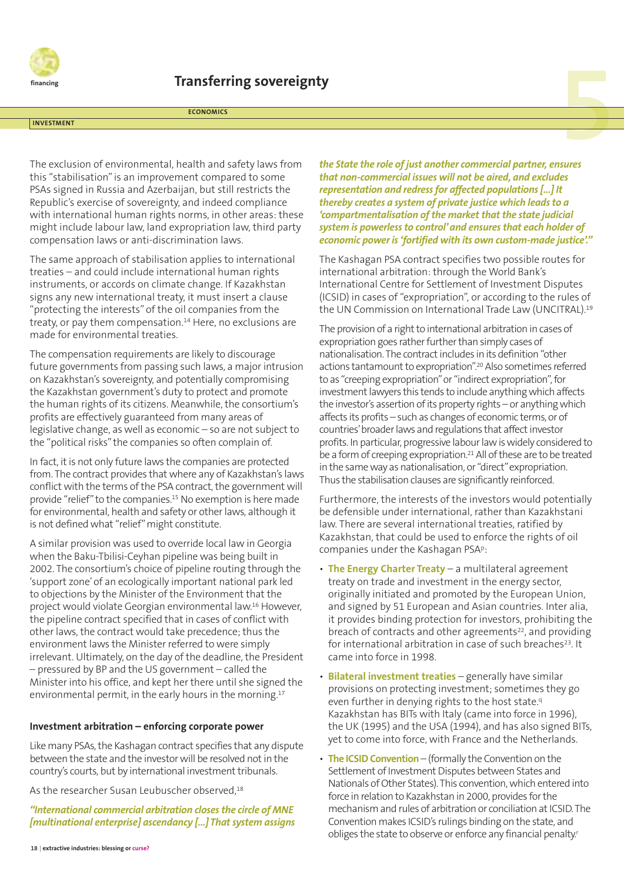

**ECONOMICS**

#### **INVESTMENT**

The exclusion of environmental, health and safety laws from this "stabilisation"is an improvement compared to some PSAs signed in Russia and Azerbaijan, but still restricts the Republic's exercise of sovereignty, and indeed compliance with international human rights norms, in other areas: these might include labour law, land expropriation law, third party compensation laws or anti-discrimination laws.

The same approach of stabilisation applies to international treaties – and could include international human rights instruments, or accords on climate change. If Kazakhstan signs any new international treaty, it must insert a clause "protecting the interests" of the oil companies from the treaty, or pay them compensation. <sup>14</sup> Here, no exclusions are made for environmental treaties.

The compensation requirements are likely to discourage future governments from passing such laws, a major intrusion on Kazakhstan's sovereignty, and potentially compromising the Kazakhstan government's duty to protect and promote the human rights of its citizens. Meanwhile, the consortium's profits are effectively guaranteed from many areas of legislative change, as well as economic – so are not subject to the "political risks"the companies so often complain of.

In fact, it is not only future laws the companies are protected from. The contract provides that where any of Kazakhstan's laws conflict with the terms of the PSA contract, the government will provide "relief"to the companies. <sup>15</sup> No exemption is here made for environmental, health and safety or other laws, although it is not defined what "relief" might constitute.

A similar provision was used to override local law in Georgia when the Baku-Tbilisi-Ceyhan pipeline was being built in 2002. The consortium's choice of pipeline routing through the 'support zone'of an ecologically important national park led to objections by the Minister of the Environment that the project would violate Georgian environmental law. <sup>16</sup> However, the pipeline contract specified that in cases of conflict with other laws, the contract would take precedence; thus the environment laws the Minister referred to were simply irrelevant. Ultimately, on the day of the deadline, the President – pressured by BP and the US government – called the Minister into his office, and kept her there until she signed the environmental permit, in the early hours in the morning. 17

#### **Investment arbitration – enforcing corporate power**

Like many PSAs, the Kashagan contract specifies that any dispute between the state and the investor will be resolved not in the country's courts, but by international investment tribunals.

As the researcher Susan Leubuscher observed, 18

*"International commercial arbitration closes the circle of MNE [multinational enterprise] ascendancy […] That system assigns*

*the State the role of just another commercial partner, ensures that non-commercial issues will not be aired, and excludes representation and redressfor affected populations[…] It thereby creates a system of private justice which leads to a 'compartmentalisation of the market that the state judicial system is powerless to control'and ensures that each holder of economic power is'fortified with its own custom-made justice'."*

The Kashagan PSA contract specifies two possible routes for international arbitration: through the World Bank's International Centre for Settlement of Investment Disputes (ICSID) in cases of "expropriation", or according to the rules of the UN Commission on International Trade Law (UNCITRAL).<sup>19</sup>

The provision of a right to international arbitration in cases of expropriation goes rather further than simply cases of nationalisation.The contractincludes in its definition "other actions tantamount to expropriation".<sup>20</sup> Also sometimes referred to as "creeping expropriation" or "indirect expropriation", for investment lawyers this tends to include anything which affects the investor's assertion of its property rights – or anything which affects its profits – such as changes of economic terms, or of countries' broader laws and regulations that affect investor profits. In particular, progressive labour law is widely considered to be a form of creeping expropriation.<sup>21</sup> All of these are to be treated in the same way as nationalisation, or "direct" expropriation. Thus the stabilisation clauses are significantly reinforced.

Furthermore, the interests of the investors would potentially be defensible under international, rather than Kazakhstani law. There are several international treaties, ratified by Kazakhstan, that could be used to enforce the rights of oil companies under the Kashagan PSAp:

- **The Energy Charter Treaty** a multilateral agreement treaty on trade and investment in the energy sector, originally initiated and promoted by the European Union, and signed by 51 European and Asian countries. Inter alia, it provides binding protection for investors, prohibiting the breach of contracts and other agreements<sup>22</sup>, and providing for international arbitration in case of such breaches<sup>23</sup>. It came into force in 1998.
- **Bilateral investment treaties** generally have similar provisions on protecting investment; sometimes they go even further in denying rights to the host state.<sup>9</sup> Kazakhstan has BITs with Italy (came into force in 1996), the UK (1995) and the USA (1994), and has also signed BITs, yet to come into force, with France and the Netherlands.
- **The ICSIDConvention** (formally the Convention on the Settlement of Investment Disputes between States and Nationals of Other States). This convention, which entered into force in relation to Kazakhstan in 2000, provides for the mechanism and rules of arbitration or conciliation at ICSID. The Convention makes ICSID's rulings binding on the state, and obliges the state to observe or enforce any financial penalty.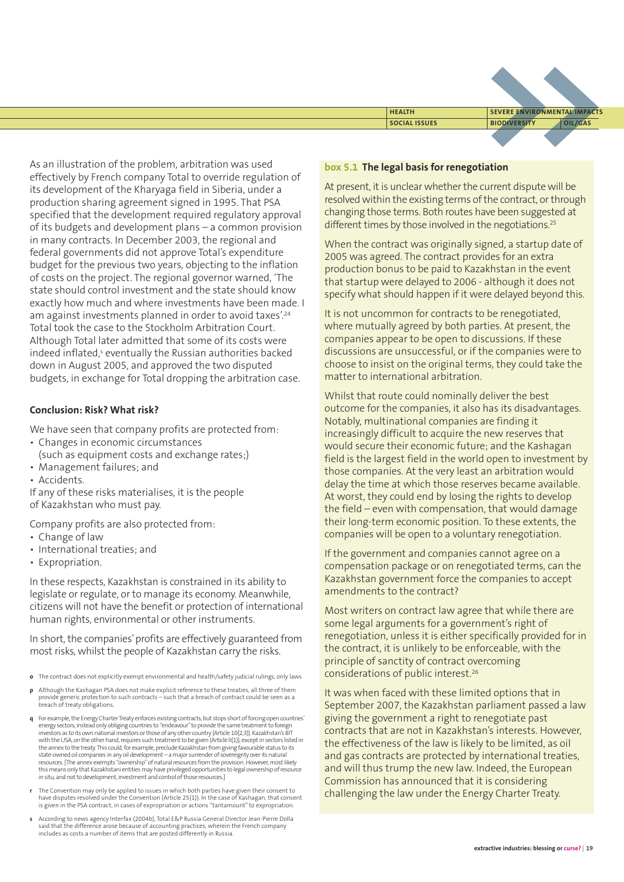

As an illustration of the problem, arbitration was used effectively by French company Total to override regulation of its development of the Kharyaga field in Siberia, under a production sharing agreement signed in 1995. That PSA specified that the development required regulatory approval of its budgets and development plans – a common provision in many contracts. In December 2003, the regional and federal governments did not approve Total's expenditure budget for the previous two years, objecting to the inflation of costs on the project. The regional governor warned, 'The state should control investment and the state should know exactly how much and where investments have been made. I am against investments planned in order to avoid taxes'. 24 Total took the case to the Stockholm Arbitration Court. Although Total later admitted that some of its costs were indeed inflated, <sup>s</sup> eventually the Russian authorities backed down in August 2005, and approved the two disputed budgets, in exchange for Total dropping the arbitration case.

#### **Conclusion: Risk? What risk?**

We have seen that company profits are protected from:

- Changes in economic circumstances (such as equipment costs and exchange rates;)
- Management failures; and
- Accidents.

If any of these risks materialises, it is the people of Kazakhstan who must pay.

Company profits are also protected from:

- Change of law
- International treaties; and
- Expropriation.

In these respects, Kazakhstan is constrained in its ability to legislate or regulate, or to manage its economy. Meanwhile, citizens will not have the benefit or protection of international human rights, environmental or other instruments.

In short, the companies' profits are effectively guaranteed from most risks, whilst the people of Kazakhstan carry the risks.

- **o** The contract does not explicitly exempt environmental and health/safety judicial rulings, only laws
- **p** Although the Kashagan PSA does not make explicit reference to these treaties, all three of them provide generic protection to such contracts – such that a breach of contract could be seen as a breach of treaty obligations.
- **q** For example, the Energy Charter Treaty enforces existing contracts, but stops short of forcing open countries energy sectors, instead only obliging countries to "endeavour" to provide the same treatment to foreign<br>investors as to its own national investors or those of any other country (Article 10(2,3)). Kazakhstan's BIT<br>with the the annex to the treaty. This could, for example, preclude Kazakhstan from giving favourable status to its<br>state-ovned oil companies in any oil development – a major surrender of sovereignty over its natural<br>resources. [Th this means only that Kazakhstani entities may have privileged opportunities to legal ownership of resource  $\sim$  in situ, and not to development, investment and control of those resources.]
- **r** The Convention may only be applied to issues in which both parties have given their consent to have disputes resolved under the Convention (Article 25(1)). In the case of Kashagan, that consent is given in the PSA contract, in cases of expropriation or actions "tantamount"to expropriation.
- **s** According to news agency Interfax (2004b), Total E&P Russia General Director Jean-Pierre Dolla said that the difference arose because of accounting practices, wherein the French company includes as costs a number of items that are posted differently in Russia.

#### **box 5.1 The legal basis for renegotiation**

At present, it is unclear whether the current dispute will be resolved within the existing terms of the contract, or through changing those terms. Both routes have been suggested at different times by those involved in the negotiations.<sup>25</sup>

When the contract was originally signed, a startup date of 2005 was agreed. The contract provides for an extra production bonus to be paid to Kazakhstan in the event that startup were delayed to 2006 - although it does not specify what should happen if it were delayed beyond this.

It is not uncommon for contracts to be renegotiated, where mutually agreed by both parties. At present, the companies appear to be open to discussions. If these discussions are unsuccessful, or if the companies were to choose to insist on the original terms, they could take the matter to international arbitration.

Whilst that route could nominally deliver the best outcome for the companies, it also has its disadvantages. Notably, multinational companies are finding it increasingly difficult to acquire the new reserves that would secure their economic future; and the Kashagan field is the largest field in the world open to investment by those companies. At the very least an arbitration would delay the time at which those reserves became available. At worst, they could end by losing the rights to develop the field – even with compensation, that would damage their long-term economic position. To these extents, the companies will be open to a voluntary renegotiation.

If the government and companies cannot agree on a compensation package or on renegotiated terms, can the Kazakhstan government force the companies to accept amendments to the contract?

Most writers on contract law agree that while there are some legal arguments for a government's right of renegotiation, unless it is either specifically provided for in the contract, it is unlikely to be enforceable, with the principle of sanctity of contract overcoming considerations of public interest. 26

It was when faced with these limited options that in September 2007, the Kazakhstan parliament passed a law giving the government a right to renegotiate past contracts that are not in Kazakhstan's interests. However, the effectiveness of the law is likely to be limited, as oil and gas contracts are protected by international treaties, and will thus trump the new law. Indeed, the European Commission has announced that it is considering challenging the law under the Energy Charter Treaty.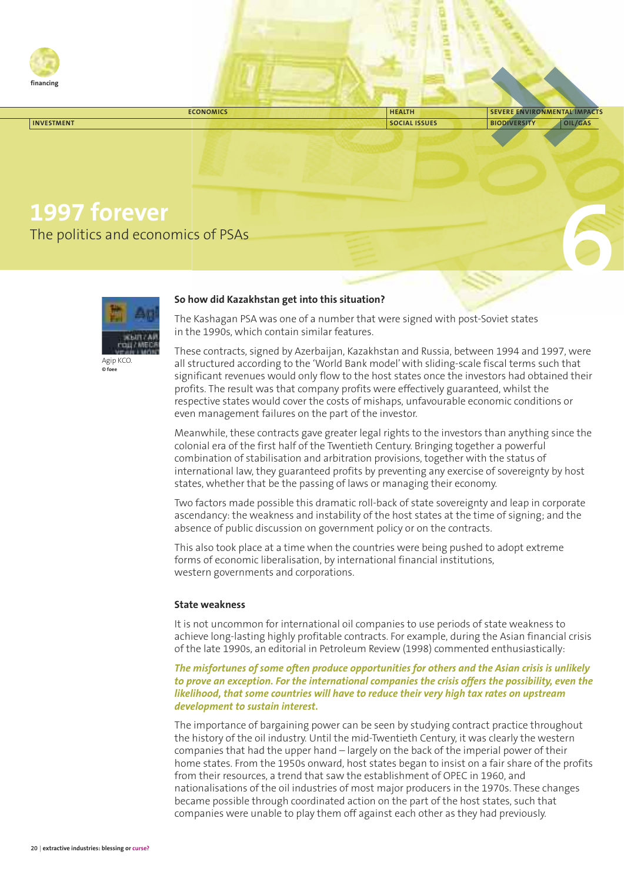

| <b>ECONOMICS</b>                                                                               | <b>HEALTH</b>        | SEVERE ENVIRONMENTAL IMPACTS   |
|------------------------------------------------------------------------------------------------|----------------------|--------------------------------|
| <b>INVESTMENT</b>                                                                              | <b>SOCIAL ISSUES</b> | <b>BIODIVERSITY</b><br>OIL/GAS |
|                                                                                                |                      |                                |
| 1997 forever<br>The politics and economics of PSAs                                             |                      |                                |
| $\mathbf{a}$ , $\mathbf{a}$ , $\mathbf{a}$ , $\mathbf{a}$ , $\mathbf{a}$ , $\mathbf{a}$<br>- - |                      |                                |



#### **So how did Kazakhstan get into this situation?**

The Kashagan PSA was one of a number that were signed with post-Soviet states in the 1990s, which contain similar features.

These contracts, signed by Azerbaijan, Kazakhstan and Russia, between 1994 and 1997, were all structured according to the 'World Bank model'with sliding-scale fiscal terms such that significant revenues would only flow to the host states once the investors had obtained their profits. The result was that company profits were effectively guaranteed, whilst the respective states would cover the costs of mishaps, unfavourable economic conditions or even management failures on the part of the investor.

Meanwhile, these contracts gave greater legal rights to the investors than anything since the colonial era of the first half of the Twentieth Century. Bringing together a powerful combination of stabilisation and arbitration provisions, together with the status of international law, they guaranteed profits by preventing any exercise of sovereignty by host states, whether that be the passing of laws or managing their economy.

Two factors made possible this dramatic roll-back of state sovereignty and leap in corporate ascendancy: the weakness and instability of the host states at the time of signing; and the absence of public discussion on government policy or on the contracts.

This also took place at a time when the countries were being pushed to adopt extreme forms of economic liberalisation, by international financial institutions, western governments and corporations.

#### **State weakness**

It is not uncommon for international oil companies to use periods of state weakness to achieve long-lasting highly profitable contracts. For example, during the Asian financial crisis of the late 1990s, an editorial in Petroleum Review (1998) commented enthusiastically:

#### *The misfortunes of some often produce opportunities for others and the Asian crisis is unlikely to prove an exception. For the international companies the crisis offers the possibility, even the likelihood, that some countries will have to reduce their very high tax rates on upstream development to sustain interest.*

The importance of bargaining power can be seen by studying contract practice throughout the history of the oil industry. Until the mid-Twentieth Century, it was clearly the western companies that had the upper hand – largely on the back of the imperial power of their home states. From the 1950s onward, host states began to insist on a fair share of the profits from their resources, a trend that saw the establishment of OPEC in 1960, and nationalisations of the oil industries of most major producers in the 1970s. These changes became possible through coordinated action on the part of the host states, such that companies were unable to play them off against each other as they had previously.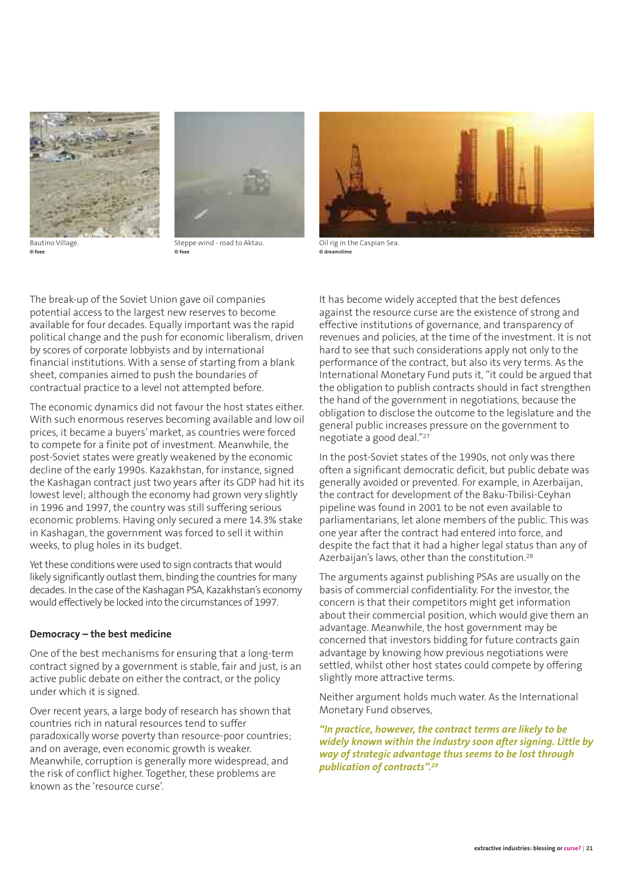

Bautino Village. **© foee**



Steppe wind - road to Aktau. **© foee**



Oil rig in the Caspian Sea. **© dreamstime**

The break-up of the Soviet Union gave oil companies potential access to the largest new reserves to become available for four decades. Equally important was the rapid political change and the push for economic liberalism, driven by scores of corporate lobbyists and by international financial institutions. With a sense of starting from a blank sheet, companies aimed to push the boundaries of contractual practice to a level not attempted before.

The economic dynamics did not favour the host states either. With such enormous reserves becoming available and low oil prices, it became a buyers'market, as countries were forced to compete for a finite pot of investment. Meanwhile, the post-Soviet states were greatly weakened by the economic decline of the early 1990s. Kazakhstan, for instance, signed the Kashagan contract just two years after its GDP had hit its lowest level; although the economy had grown very slightly in 1996 and 1997, the country was still suffering serious economic problems. Having only secured a mere 14.3% stake in Kashagan, the government was forced to sell it within weeks, to plug holes in its budget.

Yet these conditions were used to sign contracts that would likely significantly outlast them, binding the countries for many decades. In the case of the Kashagan PSA, Kazakhstan's economy would effectively be locked into the circumstances of 1997.

#### **Democracy – the best medicine**

One of the best mechanisms for ensuring that a long-term contract signed by a government is stable, fair and just, is an active public debate on either the contract, or the policy under which it is signed.

Over recent years, a large body of research has shown that countries rich in natural resources tend to suffer paradoxically worse poverty than resource-poor countries; and on average, even economic growth is weaker. Meanwhile, corruption is generally more widespread, and the risk of conflict higher. Together, these problems are known as the 'resource curse'.

It has become widely accepted that the best defences against the resource curse are the existence of strong and effective institutions of governance, and transparency of revenues and policies, at the time of the investment. It is not hard to see that such considerations apply not only to the performance of the contract, but also its very terms. As the International Monetary Fund puts it, "it could be argued that the obligation to publish contracts should in fact strengthen the hand of the government in negotiations, because the obligation to disclose the outcome to the legislature and the general public increases pressure on the government to negotiate a good deal."27

In the post-Soviet states of the 1990s, not only was there often a significant democratic deficit, but public debate was generally avoided or prevented. For example, in Azerbaijan, the contract for development of the Baku-Tbilisi-Ceyhan pipeline was found in 2001 to be not even available to parliamentarians, let alone members of the public. This was one year after the contract had entered into force, and despite the fact that it had a higher legal status than any of Azerbaijan's laws, other than the constitution.<sup>28</sup>

The arguments against publishing PSAs are usually on the basis of commercial confidentiality. For the investor, the concern is that their competitors might get information about their commercial position, which would give them an advantage. Meanwhile, the host government may be concerned that investors bidding for future contracts gain advantage by knowing how previous negotiations were settled, whilst other host states could compete by offering slightly more attractive terms.

Neither argument holds much water. As the International Monetary Fund observes,

*"In practice, however, the contract terms are likely to be widely known within the industry soon after signing. Little by way of strategic advantage thus seems to be lost through publication of contracts". 29*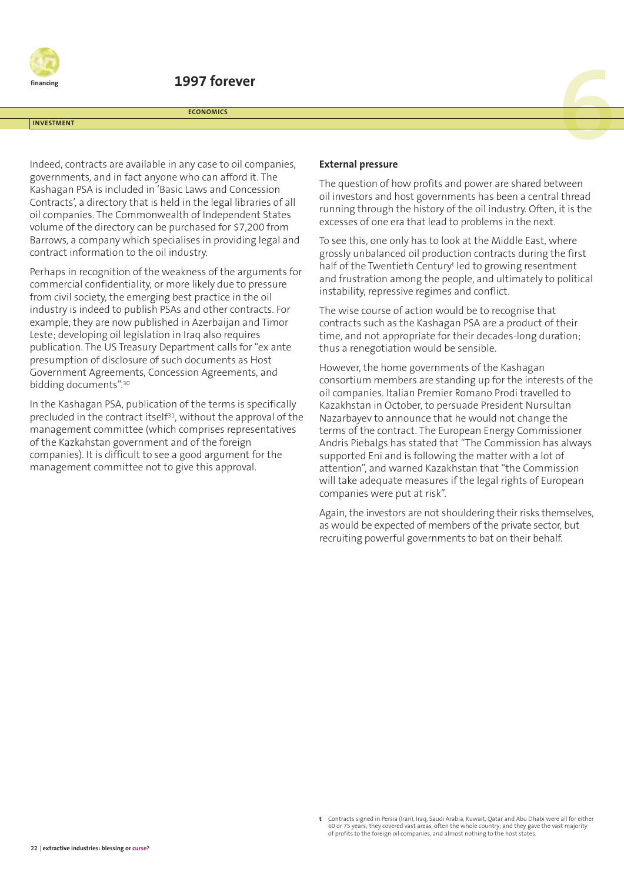

# **EXECUTE CONDINIES**<br> **EXECUTE CONDINIES**<br> **EXECUTE CONDINIES**<br> **EXECUTE CONDINIES**

**ECONOMICS**

#### **INVESTMENT**

Indeed, contracts are available in any case to oil companies, governments, and in fact anyone who can afford it. The Kashagan PSA is included in 'Basic Laws and Concession Contracts', a directory that is held in the legal libraries of all oil companies. The Commonwealth of Independent States volume of the directory can be purchased for \$7,200 from Barrows, a company which specialises in providing legal and contract information to the oil industry.

Perhaps in recognition of the weakness of the arguments for commercial confidentiality, or more likely due to pressure from civil society, the emerging best practice in the oil industry is indeed to publish PSAs and other contracts. For example, they are now published in Azerbaijan and Timor Leste; developing oil legislation in Iraq also requires publication. The US Treasury Department calls for "ex ante presumption of disclosure of such documents as Host Government Agreements, Concession Agreements, and bidding documents". 30

In the Kashagan PSA, publication of the terms is specifically precluded in the contract itself<sup>31</sup>, without the approval of the management committee (which comprises representatives of the Kazkahstan government and of the foreign companies). It is difficult to see a good argument for the management committee not to give this approval.

#### **External pressure**

The question of how profits and power are shared between oil investors and host governments has been a central thread running through the history of the oil industry. Often, it is the excesses of one era that lead to problems in the next.

To see this, one only has to look at the Middle East, where grossly unbalanced oil production contracts during the first half of the Twentieth Century<sup>t</sup> led to growing resentment and frustration among the people, and ultimately to political instability, repressive regimes and conflict.

The wise course of action would be to recognise that contracts such as the Kashagan PSA are a product of their time, and not appropriate for their decades-long duration; thus a renegotiation would be sensible.

However, the home governments of the Kashagan consortium members are standing up for the interests of the oil companies. Italian Premier Romano Prodi travelled to Kazakhstan in October, to persuade President Nursultan Nazarbayev to announce that he would not change the terms of the contract. The European Energy Commissioner Andris Piebalgs has stated that "The Commission has always supported Eni and is following the matter with a lot of attention", and warned Kazakhstan that "the Commission will take adequate measures if the legal rights of European companies were put at risk".

Again, the investors are not shouldering their risks themselves, as would be expected of members of the private sector, but recruiting powerful governments to bat on their behalf.

**t** Contracts signed in Persia (Iran), Iraq, Saudi Arabia, Kuwait, Qatar and Abu Dhabi were all for either 60 or 75 years; they covered vast areas, often the whole country; and they gave the vast majority of profits to the foreign oil companies, and almost nothing to the host states.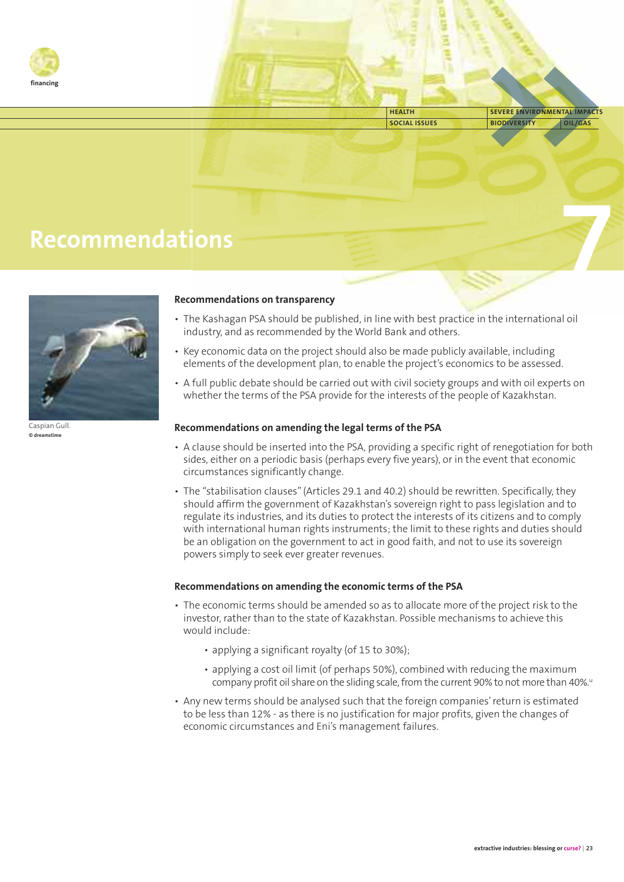

**SOCIAL ISSUES BIODIVERSITY OIL/GAS HEALTH SEVERE ENVIRONMENTAL IMPACTS**

**7**

## **Recommendations**



Caspian Gull. **© dreamstime**

#### **Recommendations on transparency**

- The Kashagan PSA should be published, in line with best practice in the international oil industry, and as recommended by the World Bank and others.
- Key economic data on the project should also be made publicly available, including elements of the development plan, to enable the project's economics to be assessed.
- A full public debate should be carried out with civil society groups and with oil experts on whether the terms of the PSA provide for the interests of the people of Kazakhstan.

#### **Recommendations on amending the legal terms of the PSA**

- A clause should be inserted into the PSA, providing a specific right of renegotiation for both sides, either on a periodic basis (perhaps every five years), or in the event that economic circumstances significantly change.
- The "stabilisation clauses"(Articles 29.1 and 40.2) should be rewritten. Specifically, they should affirm the government of Kazakhstan's sovereign right to pass legislation and to regulate its industries, and its duties to protect the interests of its citizens and to comply with international human rights instruments; the limit to these rights and duties should be an obligation on the government to act in good faith, and not to use its sovereign powers simply to seek ever greater revenues.

#### **Recommendations on amending the economic terms of the PSA**

- The economic terms should be amended so as to allocate more of the project risk to the investor, rather than to the state of Kazakhstan. Possible mechanisms to achieve this would include:
	- applying a significant royalty (of 15 to 30%);
	- applying a cost oil limit (of perhaps 50%), combined with reducing the maximum company profit oil share on the sliding scale, from the current 90% to not more than 40%."
- Any new terms should be analysed such that the foreign companies'return is estimated to be less than 12% - as there is no justification for major profits, given the changes of economic circumstances and Eni's management failures.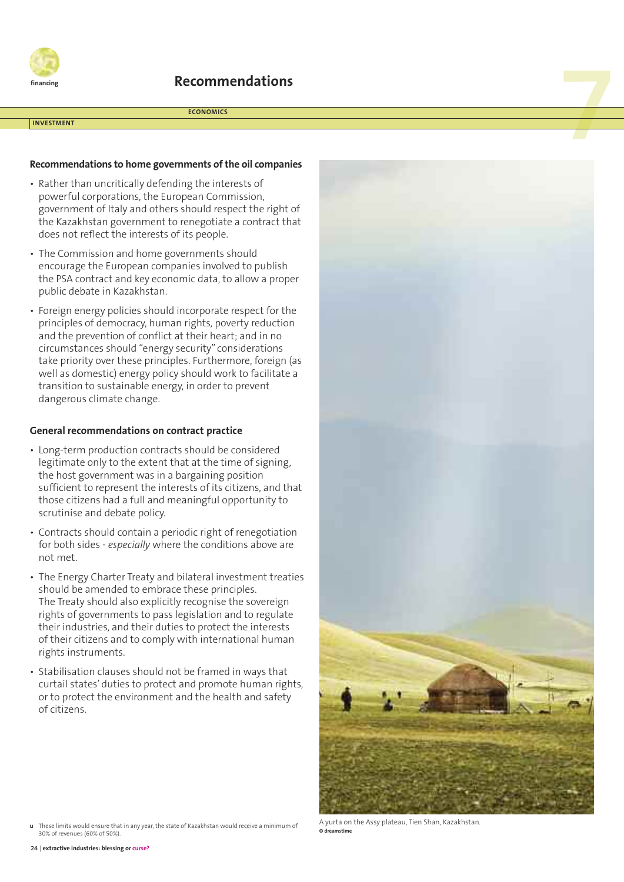

# **Recommendations**<br>ECONOMICS<br>And the community of the community of the community of the community of the community of the community of the community of the community of the community of the community of the community of the

**ECONOMICS**

#### **INVESTMENT**

#### **Recommendations to home governments ofthe oil companies**

- Rather than uncritically defending the interests of powerful corporations, the European Commission, government of Italy and others should respect the right of the Kazakhstan government to renegotiate a contract that does not reflect the interests of its people.
- The Commission and home governments should encourage the European companies involved to publish the PSA contract and key economic data, to allow a proper public debate in Kazakhstan.
- Foreign energy policies should incorporate respect for the principles of democracy, human rights, poverty reduction and the prevention of conflict at their heart; and in no circumstances should "energy security" considerations take priority over these principles. Furthermore, foreign (as well as domestic) energy policy should work to facilitate a transition to sustainable energy, in order to prevent dangerous climate change.

#### **General recommendations on contract practice**

- Long-term production contracts should be considered legitimate only to the extent that at the time of signing, the host government was in a bargaining position sufficient to represent the interests of its citizens, and that those citizens had a full and meaningful opportunity to scrutinise and debate policy.
- Contracts should contain a periodic right of renegotiation for both sides - *especially* where the conditions above are not met.
- The Energy Charter Treaty and bilateral investment treaties should be amended to embrace these principles. The Treaty should also explicitly recognise the sovereign rights of governments to pass legislation and to regulate their industries, and their duties to protect the interests of their citizens and to comply with international human rights instruments.
- Stabilisation clauses should not be framed in ways that curtail states' duties to protect and promote human rights, or to protect the environment and the health and safety of citizens.



A yurta on the Assy plateau, Tien Shan, Kazakhstan.

**u** These limits would ensure that in any year, the state of Kazakhstan would receive a minimum of **b** are that in any year, the state of Kazakhstan would receive a minimum of **b** dreamstime 30% of revenues (60% of 50%).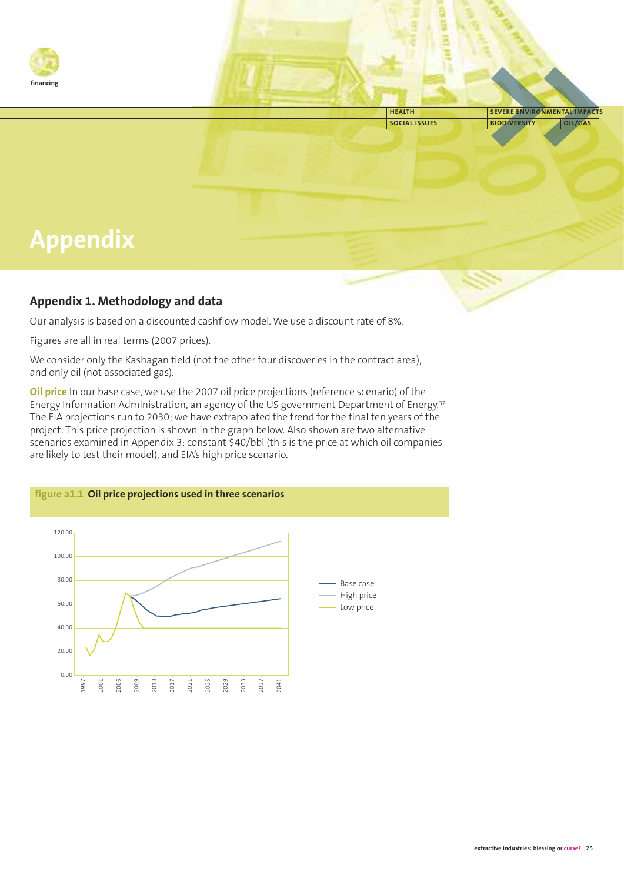

**SOCIAL ISSUES BIODIVERSITY OIL/GAS HEALTH SEVERE ENVIRONMENTAL IMPACTS**

# **Appendix**

#### **Appendix 1. Methodology and data**

Our analysis is based on a discounted cashflow model. We use a discount rate of 8%.

Figures are all in real terms (2007 prices).

We consider only the Kashagan field (not the other four discoveries in the contract area), and only oil (not associated gas).

**Oil price** In our base case, we use the 2007 oil price projections (reference scenario) of the Energy Information Administration, an agency of the US government Department of Energy. 32 The EIA projections run to 2030; we have extrapolated the trend for the final ten years of the project. This price projection is shown in the graph below. Also shown are two alternative scenarios examined in Appendix 3: constant \$40/bbl (this is the price at which oil companies are likely to test their model), and EIA's high price scenario.

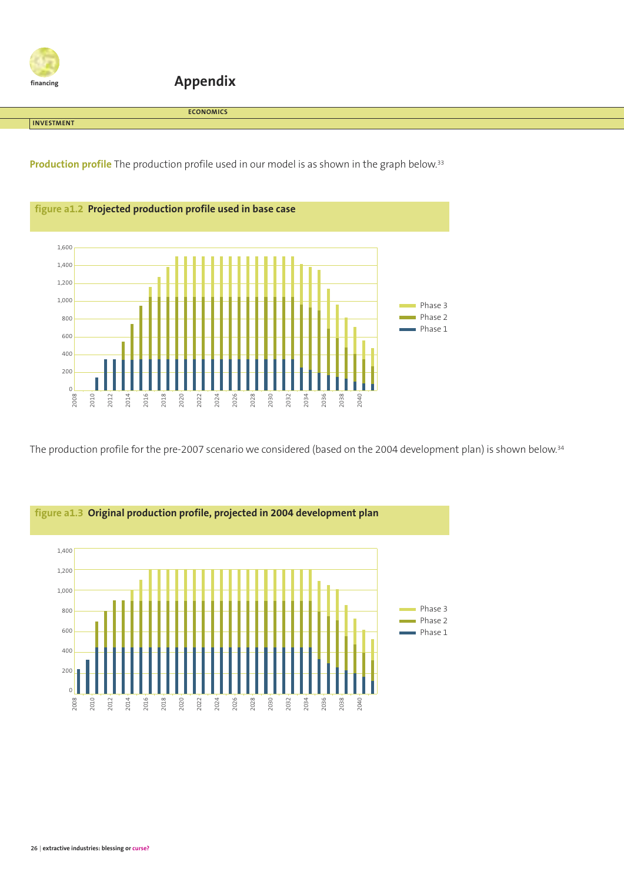

**Appendix**

**ECONOMICS**

**INVESTMENT**

**Production profile** The production profile used in our model is as shown in the graph below. 33



The production profile for the pre-2007 scenario we considered (based on the 2004 development plan) is shown below. 34

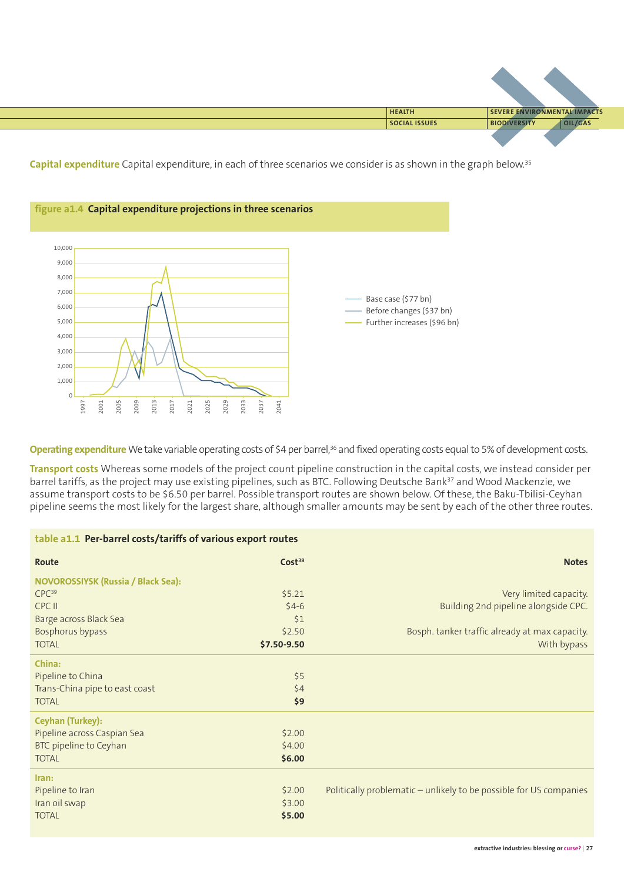

**Capital expenditure** Capital expenditure, in each of three scenarios we consider is as shown in the graph below. 35



**Operating expenditure** We take variable operating costs of \$4 per barrel,<sup>36</sup> and fixed operating costs equal to 5% of development costs.

**Transport costs** Whereas some models of the project count pipeline construction in the capital costs, we instead consider per barrel tariffs, as the project may use existing pipelines, such as BTC. Following Deutsche Bank<sup>37</sup> and Wood Mackenzie, we assume transport costs to be \$6.50 per barrel. Possible transport routes are shown below. Of these, the Baku-Tbilisi-Ceyhan pipeline seems the most likely for the largest share, although smaller amounts may be sent by each of the other three routes.

| table a1.1 Per-barrel costs/tariffs of various export routes |                    |                                                                    |  |  |  |
|--------------------------------------------------------------|--------------------|--------------------------------------------------------------------|--|--|--|
| Route                                                        | Cost <sup>38</sup> | <b>Notes</b>                                                       |  |  |  |
| <b>NOVOROSSIYSK (Russia / Black Sea):</b>                    |                    |                                                                    |  |  |  |
| CPC <sup>39</sup>                                            | \$5.21             | Very limited capacity.                                             |  |  |  |
| CPC II                                                       | $$4-6$             | Building 2nd pipeline alongside CPC.                               |  |  |  |
| Barge across Black Sea                                       | 51                 |                                                                    |  |  |  |
| Bosphorus bypass                                             | \$2.50             | Bosph. tanker traffic already at max capacity.                     |  |  |  |
| <b>TOTAL</b>                                                 | \$7.50-9.50        | With bypass                                                        |  |  |  |
| China:                                                       |                    |                                                                    |  |  |  |
| Pipeline to China                                            | \$5                |                                                                    |  |  |  |
| Trans-China pipe to east coast                               | \$4                |                                                                    |  |  |  |
| <b>TOTAL</b>                                                 | \$9                |                                                                    |  |  |  |
| <b>Ceyhan (Turkey):</b>                                      |                    |                                                                    |  |  |  |
| Pipeline across Caspian Sea                                  | \$2.00             |                                                                    |  |  |  |
| BTC pipeline to Ceyhan                                       | \$4.00             |                                                                    |  |  |  |
| <b>TOTAL</b>                                                 | \$6.00             |                                                                    |  |  |  |
| Iran:                                                        |                    |                                                                    |  |  |  |
| Pipeline to Iran                                             | \$2.00             | Politically problematic - unlikely to be possible for US companies |  |  |  |
| Iran oil swap                                                | \$3.00             |                                                                    |  |  |  |
| <b>TOTAL</b>                                                 | \$5.00             |                                                                    |  |  |  |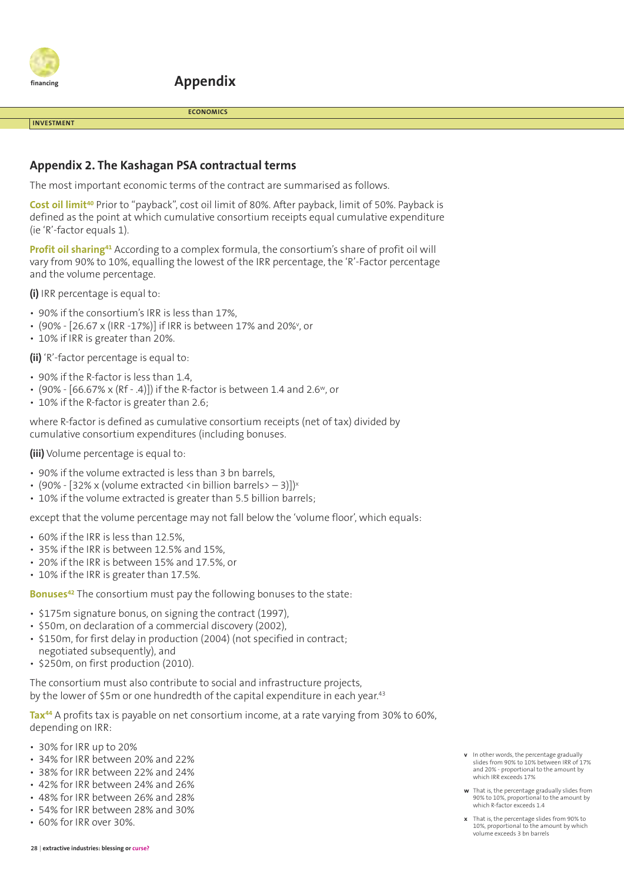

**Appendix**

**ECONOMICS**

#### **INVESTMENT**

#### **Appendix 2. The Kashagan PSA contractual terms**

The most important economic terms of the contract are summarised as follows.

**Cost oil limit40** Prior to "payback", cost oil limit of 80%. After payback, limit of 50%. Payback is defined as the point at which cumulative consortium receipts equal cumulative expenditure (ie 'R'-factor equals 1).

**Profit oil sharing41** According to a complex formula, the consortium's share of profit oil will vary from 90% to 10%, equalling the lowest of the IRR percentage, the 'R'-Factor percentage and the volume percentage.

**(i)** IRR percentage is equal to:

- 90% if the consortium's IRR is less than 17%,
- (90% [26.67 x (IRR -17%)] if IRR is between 17% and 20%<sup>,</sup> or
- 10% if IRR is greater than 20%.

**(ii)** 'R'-factor percentage is equal to:

- 90% if the R-factor is less than 1.4,
- (90%  $[66.67\% \times (RF .4)]$ ) if the R-factor is between 1.4 and 2.6<sup>w</sup>, or
- 10% if the R-factor is greater than 2.6;

where R-factor is defined as cumulative consortium receipts (net of tax) divided by cumulative consortium expenditures (including bonuses.

**(iii)** Volume percentage is equal to:

- 90% if the volume extracted is less than 3 bn barrels,
- (90% [32% x (volume extracted <in billion barrels> 3)]) $x$
- 10% if the volume extracted is greater than 5.5 billion barrels;

except that the volume percentage may not fall below the 'volume floor', which equals:

- 60% if the IRR is less than 12.5%,
- 35% if the IRR is between 12.5% and 15%,
- 20% if the IRR is between 15% and 17.5%, or
- 10% if the IRR is greater than 17.5%.

**Bonuses42** The consortium must pay the following bonuses to the state:

- \$175m signature bonus, on signing the contract (1997),
- \$50m, on declaration of a commercial discovery (2002),
- \$150m, for first delay in production (2004) (not specified in contract; negotiated subsequently), and
- \$250m, on first production (2010).

The consortium must also contribute to social and infrastructure projects, by the lower of \$5m or one hundredth of the capital expenditure in each year. 43

**Tax44** A profits tax is payable on net consortium income, at a rate varying from 30% to 60%, depending on IRR:

- 30% for IRR up to 20%
- 34% for IRR between 20% and 22%
- 38% for IRR between 22% and 24%
- 42% for IRR between 24% and 26%
- 48% for IRR between 26% and 28%
- 54% for IRR between 28% and 30%
- 60% for IRR over 30%.
- **w** That is, the percentage gradually slides from 90% to 10%, proportional to the amount by which R-factor exceeds 1.4
- **x** That is, the percentage slides from 90% to 10%, proportional to the amount by which volume exceeds 3 bn barrels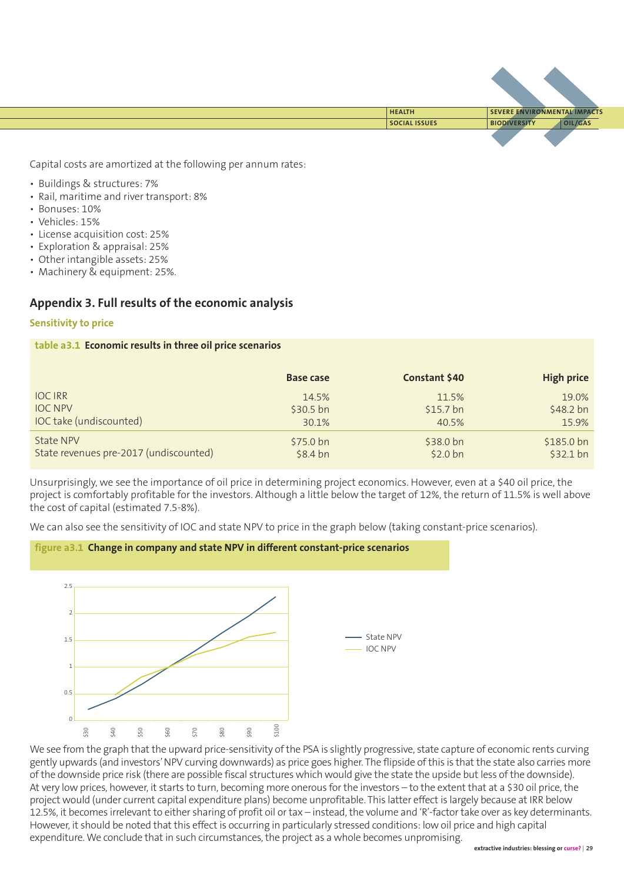

Capital costs are amortized at the following per annum rates:

- Buildings & structures: 7%
- Rail, maritime and river transport: 8%
- Bonuses: 10%
- Vehicles: 15%
- License acquisition cost: 25%
- Exploration & appraisal: 25%
- Other intangible assets: 25%
- Machinery & equipment: 25%.

#### **Appendix 3. Full results of the economic analysis**

#### **Sensitivity to price**

#### **table a3.1 Economic results in three oil price scenarios**

|                                        | <b>Base case</b>   | Constant \$40       | <b>High price</b> |
|----------------------------------------|--------------------|---------------------|-------------------|
| <b>IOCIRR</b>                          | 14.5%              | 11.5%               | 19.0%             |
| <b>IOC NPV</b>                         | $$30.5 \text{ bn}$ | $$15.7$ bn          | $$48.2$ bn        |
| IOC take (undiscounted)                | 30.1%              | 40.5%               | 15.9%             |
| <b>State NPV</b>                       | \$75.0 bn          | $$38.0 \text{ bn}$  | $$185.0 b$ n      |
| State revenues pre-2017 (undiscounted) | $$8.4$ bn          | \$2.0 <sub>bn</sub> | $$32.1$ bn        |

Unsurprisingly, we see the importance of oil price in determining project economics. However, even at a \$40 oil price, the project is comfortably profitable for the investors. Although a little below the target of 12%, the return of 11.5% is well above the cost of capital (estimated 7.5-8%).

We can also see the sensitivity of IOC and state NPV to price in the graph below (taking constant-price scenarios).



**figure a3.1 Change in company and state NPV in different constant-price scenarios**

We see from the graph that the upward price-sensitivity of the PSA is slightly progressive, state capture of economic rents curving gently upwards (and investors'NPV curving downwards) as price goes higher. The flipside ofthis is that the state also carries more ofthe downside price risk (there are possible fiscal structures which would give the state the upside but less ofthe downside). At very low prices, however, it starts to turn, becoming more onerous for the investors – to the extent that at a \$30 oil price, the project would (under current capital expenditure plans) become unprofitable. This latter effect is largely because at IRR below 12.5%, it becomes irrelevant to either sharing of profit oil or tax – instead, the volume and 'R'-factor take over as key determinants. However, it should be noted that this effect is occurring in particularly stressed conditions: low oil price and high capital expenditure. We conclude that in such circumstances, the project as a whole becomes unpromising.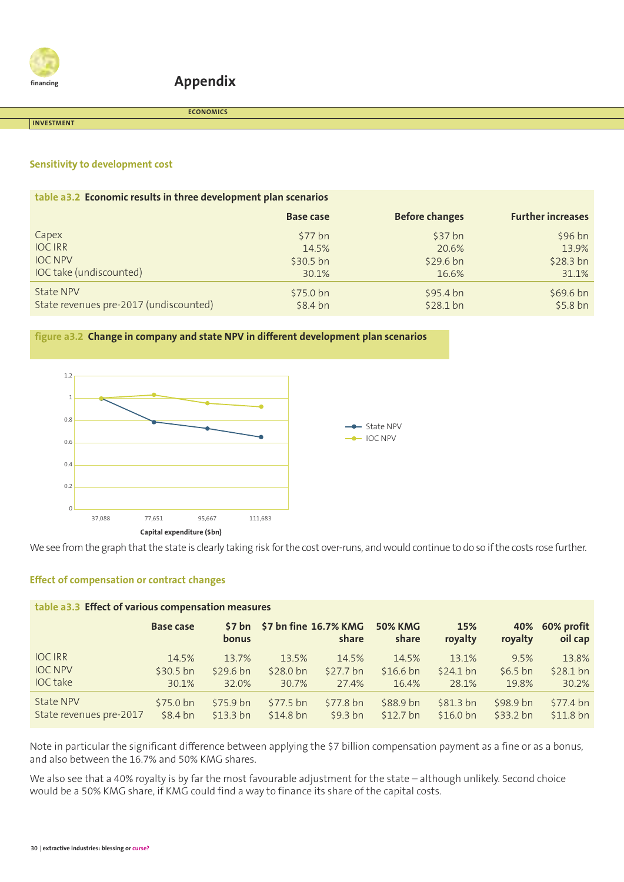

#### **Appendix**

**INVESTMENT**

**ECONOMICS**

#### **Sensitivity to development cost**

| table a3.2 Economic results in three development plan scenarios |                    |                       |                          |  |  |  |
|-----------------------------------------------------------------|--------------------|-----------------------|--------------------------|--|--|--|
|                                                                 | <b>Base case</b>   | <b>Before changes</b> | <b>Further increases</b> |  |  |  |
| Capex                                                           | \$77 bh            | $$37$ bn              | $$96 b$ n                |  |  |  |
| <b>IOC IRR</b>                                                  | 14.5%              | 20.6%                 | 13.9%                    |  |  |  |
| <b>IOC NPV</b>                                                  | $$30.5 \text{ bn}$ | $$29.6 \text{ bn}$    | \$28.3 bh                |  |  |  |
| IOC take (undiscounted)                                         | 30.1%              | 16.6%                 | 31.1%                    |  |  |  |
| State NPV                                                       | $$75.0 b$ n        | \$95.4 bn             | \$69.6 bn                |  |  |  |
| State revenues pre-2017 (undiscounted)                          | $$8.4$ bn          | $$28.1$ bn            | $$5.8$ bn                |  |  |  |

#### **figure a3.2 Change in company and state NPV in different development plan scenarios**



We see from the graph that the state is clearly taking risk for the cost over-runs, and would continue to do so if the costs rose further.

#### **Effect of compensation or contract changes**

| table a3.3 Effect of various compensation measures |                  |                      |                       |                     |                         |                      |                |                       |  |  |  |
|----------------------------------------------------|------------------|----------------------|-----------------------|---------------------|-------------------------|----------------------|----------------|-----------------------|--|--|--|
|                                                    | <b>Base case</b> | S7 bn<br>bonus       | \$7 bn fine 16.7% KMG | share               | <b>50% KMG</b><br>share | 15%<br>royalty       | 40%<br>royalty | 60% profit<br>oil cap |  |  |  |
| <b>IOC IRR</b>                                     | 14.5%            | 13.7%                | 13.5%                 | 14.5%               | 14.5%                   | 13.1%                | 9.5%           | 13.8%                 |  |  |  |
| <b>IOC NPV</b>                                     | $$30.5$ bn       | \$29.6 <sub>bn</sub> | \$28.0 <sub>bn</sub>  | $$27.7$ bn          | $$16.6$ bn              | $$24.1$ bn           | $$6.5$ bn      | $$28.1$ bn            |  |  |  |
| <b>IOC</b> take                                    | 30.1%            | 32.0%                | 30.7%                 | 27.4%               | 16.4%                   | 28.1%                | 19.8%          | 30.2%                 |  |  |  |
| <b>State NPV</b>                                   | \$75.0 bn        | \$75.9 bn            | \$77.5 bn             | \$77.8 bn           | \$88.9 bn               | \$81.3 <sub>bn</sub> | \$98.9 bn      | $$77.4$ bn            |  |  |  |
| State revenues pre-2017                            | $$8.4$ bn        | \$13.3 <sub>bn</sub> | \$14.8 <sub>bn</sub>  | \$9.3 <sub>bn</sub> | $$12.7$ bn              | \$16.0 <sub>bn</sub> | \$33.2 bn      | \$11.8 <sub>bn</sub>  |  |  |  |

Note in particular the significant difference between applying the \$7 billion compensation payment as a fine or as a bonus, and also between the 16.7% and 50% KMG shares.

We also see that a 40% royalty is by far the most favourable adjustment for the state – although unlikely. Second choice would be a 50% KMG share, if KMG could find a way to finance its share of the capital costs.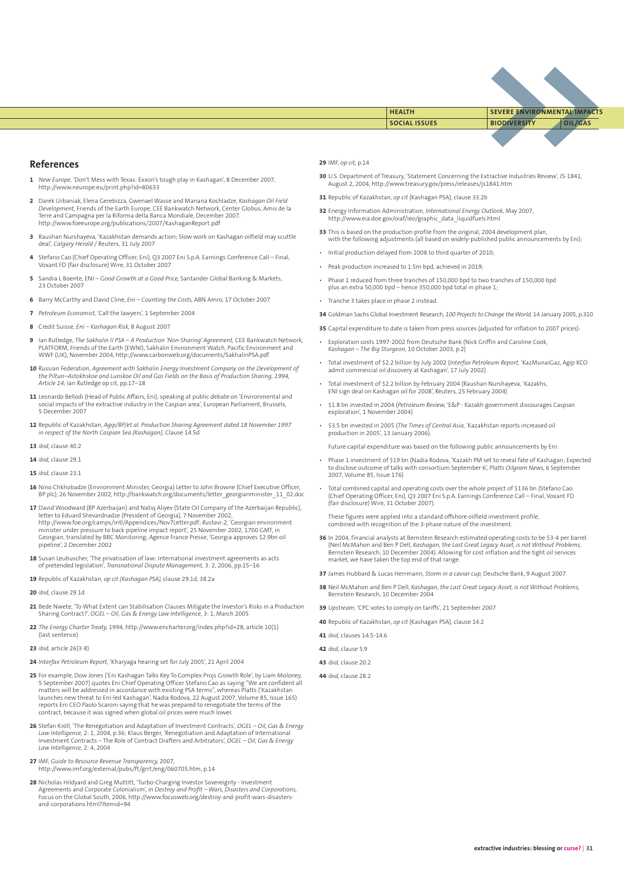

**SOCIAL ISSUES BIODIVERSITY OIL/GAS HEALTH SEVERE ENVIRONMENTAL IMPACTS**

#### **References**

- **1** *New Europe,* 'Don't Mess with Texas: Exxon's tough play in Kashagan', 8 December 2007, http://www.neurope.eu/print.php?id=80633
- **2** Darek Urbaniak, Elena Gerebizza, Gwenael Wasse and Manana Kochladze, *Kashagan Oil Field Development,* Friends of the Earth Europe, CEE Bankwatch Network, Center Globus, Amis de la Terre and Campagna per la Riforma della Banca Mondiale, December 2007. http://www.foeeurope.org/publications/2007/KashaganReport.pdf
- **3** Raushan Nurshayeva, 'Kazakhstan demands action; Slow work on Kashagan oilfield may scuttle deal', *Calgary Herald* / Reuters, 31 July 2007
- **4** Stefano Cao (Chief Operating Officer, Eni), Q3 2007 Eni S.p.A. Earnings Conference Call Final, Voxant FD (fair disclosure) Wire, 31 October 2007
- **5** Sandra L Boente, ENI *Good Growth at a Good Price,* Santander Global Banking & Markets, 23 October 2007
- **6** Barry McCarthy and David Cline, *Eni – Counting the Costs,* ABN Amro, 17 October 2007
- **7** *Petroleum Economist* 'Call the lawyers' 1 September 2004
- **8** Credit Suisse, *Eni – Kashagan Risk,* 8 August 2007
- 9 Ian Rutledge, *The Sakhalin II PSA A Production 'Non-Sharing' Agreement,* CEE Bankwatch Network,<br>PLATFORM, Friends of the Earth (EWNI), Sakhalin Environment Watch, Pacific Environment and WWF (UK), November 2004, http://www.carbonweb.org/documents/SakhalinPSA.pdf
- **10** Russian Federation, Agreement with Sakhalin Energy Investment Company on the Development of<br>the Piltun–Astokhskoe and Lunskoe Oil and Gas Fields on the Basis of Production Sharing, 1994, *Article 14;* Ian Rutledge op cit, pp.17–18
- **11** Leonardo Bellodi (Head of Public Affairs, Eni), speaking at public debate on 'Environmental and social impacts of the extractive industry in the Caspian area', European Parliament, Brussels, 5 December 2007
- **12** Republic of Kazakhstan, *Agip/BP/et al. Production Sharing Agreement dated 18 November 1997 in respect of the North Caspian Sea (Kashagan),* Clause 14.5d
- **13** *ibid,* clause 40.2
- **14** *ibid,* clause 29.1
- **15** *ibid,* clause 23.1
- **16** Nino Chkhobadze (Environment Minister, Georgia) Letter to John Browne (Chief Executive Officer, BP plc), 26 November 2002, http://bankwatch.org/documents/letter\_georgianminister\_11\_02.doc
- 17 David Woodward (BP Azerbaijan) and Natiq Aliyev (State Oil Company of the Azerbaijan Republic),<br>letter to Eduard Shevardnadze (President of Georgia), 7 November 2002,<br>http://www.foe.org/camps/intl/Appendices/Nov7Letter. minister under pressure to back pipeline impact report', 25 November 2002, 1700 GMT, in Georgian, translated by BBC Monitoring; Agence France Presse, 'Georgia approves \$2.9bn oil pipeline', 2 December 2002
- **18** Susan Leubuscher, 'The privatisation of law: International investment agreements as acts of pretended legislation', *Transnational Dispute Management,* 3: 2, 2006, pp.15–16
- **19** Republic of Kazakhstan, *op cit (Kashagan PSA),* clause 29.1d, 38.2a
- **20** *ibid,* clause 29.1d
- **21** Bede Nwete, 'To What Extent can Stabilisation Clauses Mitigate the Investor's Risks in a Production Sharing Contract?', *OGEL – Oil, Gas & Energy Law Intelligence,* 3: 1, March 2005
- **22** *The Energy Charter Treaty,* 1994, http://www.encharter.org/index.php?id=28, article 10(1) (last sentence)
- **23** *ibid,* article 26(3-8)
- **24** *Interfax Petroleum Report,* 'Kharyaga hearing set for July 2005', 21 April 2004
- **25** For example, Dow Jones ('Eni Kashagan Talks Key To Complex Projs Growth Role', by Liam Moloney, 5 September 2007) quotes Eni Chief Operating Officer Stefano Cao as saying "We are confident all matters will be addressed in accordance with existing PSA terms", whereas Platts ('Kazakhstan launches new threat to Eni-led Kashagan', Nadia Rodova, 22 August 2007, Volume 85, Issue 165) reports Eni CEO Paolo Scaroni saying that he was prepared to renegotiate the terms of the contract, because it was signed when global oil prices were much lower.
- **26** Stefan Kröll, 'The Renegotiation and Adaptation of Investment Contracts', *OGEL – Oil, Gas & Energy Law Intelligence,* 2: 1, 2004, p.36; Klaus Berger, 'Renegotiation and Adaptation of International Investment Contracts – The Role of Contract Drafters and Arbitrators', *OGEL – Oil, Gas & Energy Law Intelligence,* 2: 4, 2004
- **27** IMF, *Guide to Resource Revenue Transparency,* 2007, http://www.imf.org/external/pubs/ft/grrt/eng/060705.htm, p.14
- **28** Nicholas Hildyard and Greg Muttitt, 'Turbo-Charging Investor Sovereignty Investment Agreements and Corporate Colonialism', in *Destroy and Profit – Wars, Disasters and Corporations,*<br>Focus on the Global South, 2006, http://www.focusweb.org/destroy-and-profit-wars-disastersand-corporations.html?Itemid=94

#### **29** IMF, *op cit,* p.14

- **30** U.S. Department of Treasury, 'Statement Concerning the Extractive Industries Review', JS-1841, August 2, 2004, http://www.treasury.gov/press/releases/js1841.htm
- **31** Republic of Kazakhstan, *op cit* (Kashagan PSA), clause 33.2b
- **32** Energy Information Administration, *International Energy Outlook,* May 2007, http://www.eia.doe.gov/oiaf/ieo/graphic\_data\_liquidfuels.html
- **33** This is based on the production profile from the original, 2004 development plan, with the following adjustments (all based on widely-published public announcements by Eni):
- Initial production delayed from 2008 to third quarter of 2010;
- Peak production increased to 1.5m bpd, achieved in 2019;
- Phase 1 reduced from three tranches of 150,000 bpd to two tranches of 150,000 bpd plus an extra 50,000 bpd – hence 350,000 bpd total in phase 1;
- Tranche 3 takes place in phase 2 instead.
- **34** Goldman Sachs Global Investment Research, *100 Projects to Change theWorld,* 14 January 2005, p.310
- **35** Capital expenditure to date is taken from press sources (adjusted for inflation to 2007 prices):
- Exploration costs 1997-2002 from Deutsche Bank (Nick Griffin and Caroline Cook, *Kashagan – The Big Sturgeon,* 10 October 2003, p.2)
- Total investment of \$2.2 billion by July 2002 (*Interfax Petroleum Report,* 'KazMunaiGaz, Agip KCO admit commercial oil discovery at Kashagan', 17 July 2002)
- Total investment of \$2.2 billion by February 2004 (Raushan Nurshayeva, 'Kazakhs, ENI sign deal on Kashagan oil for 2008', Reuters, 25 February 2004)
- \$1.8 bn invested in 2004 (*Petroleum Review,* 'E&P Kazakh government discourages Caspian exploration', 1 November 2004)
- \$3.5 bn invested in 2005 (*The Times of Central Asia,* 'Kazakhstan reports increased oil production in 2005', 13 January 2006).

Future capital expenditure was based on the following public announcements by Eni:

- Phase 1 investment of \$19 bn (Nadia Rodova, 'Kazakh PM set to reveal fate of Kashagan; Expected to disclose outcome of talks with consortium September 6', *Platts Oilgram News,* 6 September 2007, Volume 85, Issue 176)
- Total combined capital and operating costs over the whole project of \$136 bn (Stefano Cao (Chief Operating Officer, Eni), Q3 2007 Eni S.p.A. Earnings Conference Call – Final, Voxant FD (fair disclosure) Wire, 31 October 2007).

These figures were applied into a standard offshore oilfield investment profile, combined with recognition of the 3-phase nature of the investment.

- **36** In 2004, financial analysts at Bernstein Research estimated operating costs to be \$3-4 per barrel. (Neil McMahon and Ben P Dell, *Kashagan, the Last Great Legacy Asset, is not Without Problems,*<br>Bernstein Research, 10 December 2004). Allowing for cost inflation and the tight oil services market, we have taken the top end of that range.
- **37** James Hubbard & Lucas Herrmann, *Storm in a caviar cup,* Deutsche Bank, 9 August 2007
- **38** Neil McMahon and Ben P Dell, *Kashagan, the Last Great Legacy Asset, is not Without Problems,* Bernstein Research, 10 December 2004
- **39** *Upstream,* 'CPC votes to comply on tariffs', 21 September 2007
- **40** Republic of Kazakhstan, *op cit* (Kashagan PSA), clause 14.2
- **41** *ibid,* clauses 14.5-14.6
- **42** *ibid,* clause 5.9
- **43** *ibid,* clause 20.2
- **44** *ibid,* clause 28.2